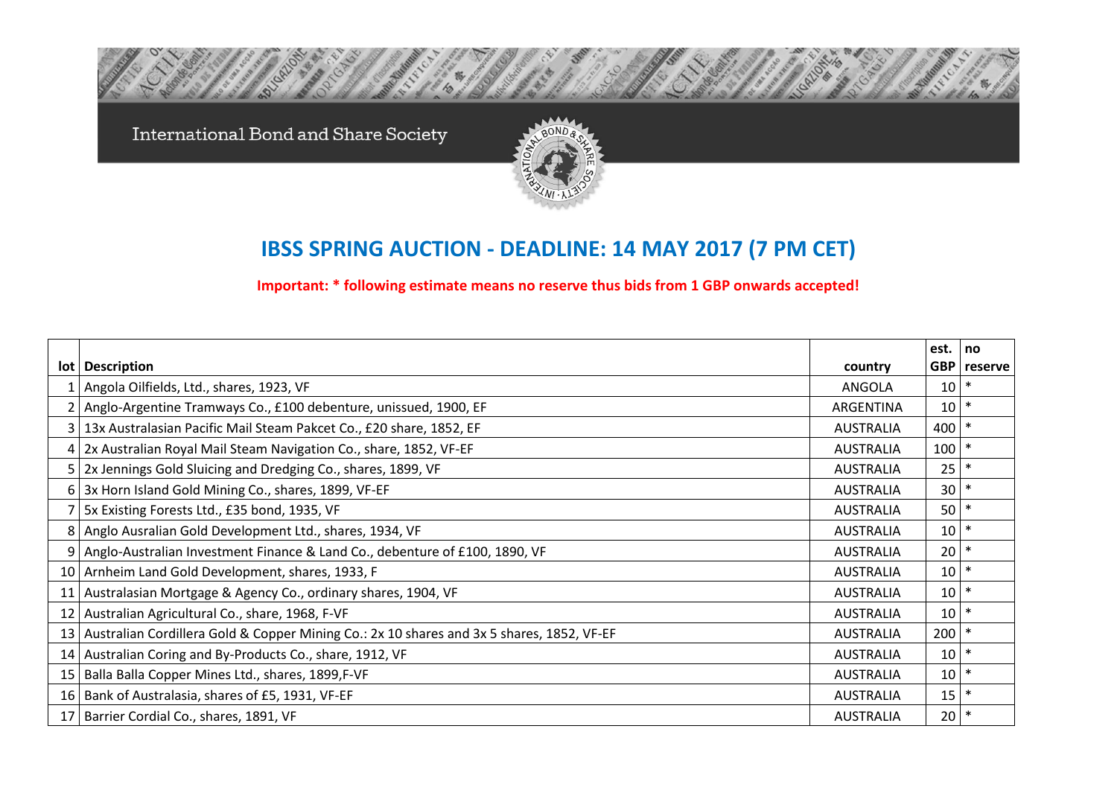International Bond and Share Society



## **IBSS SPRING AUCTION - DEADLINE: 14 MAY 2017 (7 PM CET)**

**Important: \* following estimate means no reserve thus bids from 1 GBP onwards accepted!**

|                 |                                                                                              |                  | est. | no            |
|-----------------|----------------------------------------------------------------------------------------------|------------------|------|---------------|
|                 | lot   Description                                                                            | country          |      | GBP   reserve |
|                 | Angola Oilfields, Ltd., shares, 1923, VF                                                     | ANGOLA           | 10   |               |
|                 | Anglo-Argentine Tramways Co., £100 debenture, unissued, 1900, EF                             | ARGENTINA        | 10   | $\ast$        |
|                 | 13x Australasian Pacific Mail Steam Pakcet Co., £20 share, 1852, EF                          | <b>AUSTRALIA</b> | 400  |               |
|                 | 2x Australian Royal Mail Steam Navigation Co., share, 1852, VF-EF                            | <b>AUSTRALIA</b> | 100  |               |
|                 | 2x Jennings Gold Sluicing and Dredging Co., shares, 1899, VF                                 | <b>AUSTRALIA</b> | 25   |               |
|                 | 6 3x Horn Island Gold Mining Co., shares, 1899, VF-EF                                        | <b>AUSTRALIA</b> | 30   |               |
|                 | 5x Existing Forests Ltd., £35 bond, 1935, VF                                                 | <b>AUSTRALIA</b> | 50   | $\ast$        |
|                 | Anglo Ausralian Gold Development Ltd., shares, 1934, VF                                      | <b>AUSTRALIA</b> | 10   | $\ast$        |
| 9               | Anglo-Australian Investment Finance & Land Co., debenture of £100, 1890, VF                  | <b>AUSTRALIA</b> | 20   | $\ast$        |
|                 | 10 Arnheim Land Gold Development, shares, 1933, F                                            | <b>AUSTRALIA</b> | 10   | $\ast$        |
| 11 <sup>1</sup> | Australasian Mortgage & Agency Co., ordinary shares, 1904, VF                                | <b>AUSTRALIA</b> | 10   | $\ast$        |
| 12 <sub>1</sub> | Australian Agricultural Co., share, 1968, F-VF                                               | <b>AUSTRALIA</b> | 10   | $\ast$        |
|                 | 13 Australian Cordillera Gold & Copper Mining Co.: 2x 10 shares and 3x 5 shares, 1852, VF-EF | <b>AUSTRALIA</b> | 200  | $\ast$        |
|                 | 14 Australian Coring and By-Products Co., share, 1912, VF                                    | <b>AUSTRALIA</b> | 10   | $\ast$        |
|                 | 15   Balla Balla Copper Mines Ltd., shares, 1899, F-VF                                       | <b>AUSTRALIA</b> | 10   |               |
|                 | 16 Bank of Australasia, shares of £5, 1931, VF-EF                                            | <b>AUSTRALIA</b> | 15   | $\ast$        |
|                 | 17 Barrier Cordial Co., shares, 1891, VF                                                     | <b>AUSTRALIA</b> | 20   | $\ast$        |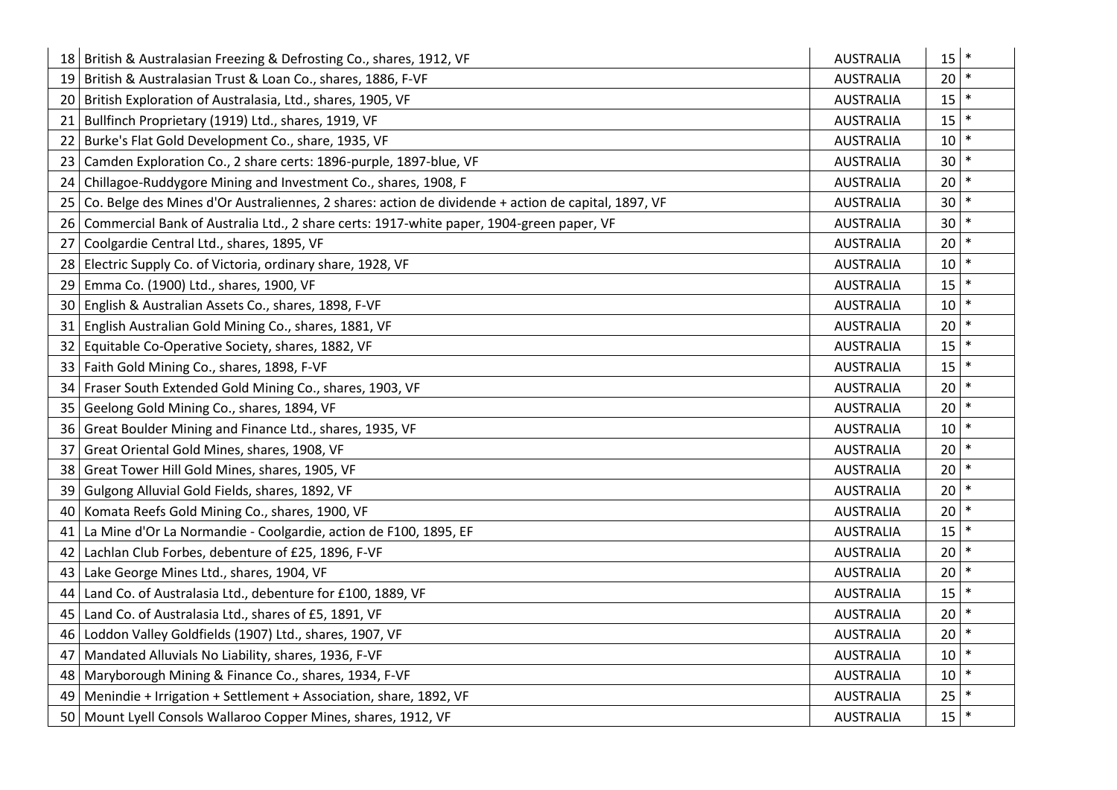|      | 18 British & Australasian Freezing & Defrosting Co., shares, 1912, VF                               | <b>AUSTRALIA</b> | 15              | $\ast$ |
|------|-----------------------------------------------------------------------------------------------------|------------------|-----------------|--------|
|      | 19 British & Australasian Trust & Loan Co., shares, 1886, F-VF                                      | <b>AUSTRALIA</b> | 20              | $\ast$ |
|      | 20 British Exploration of Australasia, Ltd., shares, 1905, VF                                       | <b>AUSTRALIA</b> | 15              |        |
| 21   | Bullfinch Proprietary (1919) Ltd., shares, 1919, VF                                                 | <b>AUSTRALIA</b> | 15              |        |
| 22   | Burke's Flat Gold Development Co., share, 1935, VF                                                  | <b>AUSTRALIA</b> | 10              |        |
| 23   | Camden Exploration Co., 2 share certs: 1896-purple, 1897-blue, VF                                   | <b>AUSTRALIA</b> | 30              | $\ast$ |
| 24   | Chillagoe-Ruddygore Mining and Investment Co., shares, 1908, F                                      | <b>AUSTRALIA</b> | 20              |        |
| 25   | Co. Belge des Mines d'Or Australiennes, 2 shares: action de dividende + action de capital, 1897, VF | <b>AUSTRALIA</b> | 30              | $\ast$ |
| 26   | Commercial Bank of Australia Ltd., 2 share certs: 1917-white paper, 1904-green paper, VF            | <b>AUSTRALIA</b> | 30              |        |
| 27   | Coolgardie Central Ltd., shares, 1895, VF                                                           | <b>AUSTRALIA</b> | 20              | $\ast$ |
|      | 28 Electric Supply Co. of Victoria, ordinary share, 1928, VF                                        | <b>AUSTRALIA</b> | 10              | $\ast$ |
| 29   | Emma Co. (1900) Ltd., shares, 1900, VF                                                              | <b>AUSTRALIA</b> | 15              | $\ast$ |
| 30 I | English & Australian Assets Co., shares, 1898, F-VF                                                 | <b>AUSTRALIA</b> | 10              |        |
| 31   | English Australian Gold Mining Co., shares, 1881, VF                                                | <b>AUSTRALIA</b> | 20              | $\ast$ |
| 32   | Equitable Co-Operative Society, shares, 1882, VF                                                    | <b>AUSTRALIA</b> | 15              | $\ast$ |
| 33 I | Faith Gold Mining Co., shares, 1898, F-VF                                                           | <b>AUSTRALIA</b> | 15              | $\ast$ |
| 34   | Fraser South Extended Gold Mining Co., shares, 1903, VF                                             | <b>AUSTRALIA</b> | 20              |        |
|      | 35 Geelong Gold Mining Co., shares, 1894, VF                                                        | <b>AUSTRALIA</b> | 20              | $\ast$ |
|      | 36 Great Boulder Mining and Finance Ltd., shares, 1935, VF                                          | <b>AUSTRALIA</b> | 10              | $\ast$ |
| 37   | Great Oriental Gold Mines, shares, 1908, VF                                                         | <b>AUSTRALIA</b> | 20              | $\ast$ |
| 38   | Great Tower Hill Gold Mines, shares, 1905, VF                                                       | <b>AUSTRALIA</b> | 20              |        |
| 39   | Gulgong Alluvial Gold Fields, shares, 1892, VF                                                      | <b>AUSTRALIA</b> | 20              | $\ast$ |
| 40   | Komata Reefs Gold Mining Co., shares, 1900, VF                                                      | <b>AUSTRALIA</b> | 20              | $\ast$ |
| 41   | La Mine d'Or La Normandie - Coolgardie, action de F100, 1895, EF                                    | <b>AUSTRALIA</b> | 15              |        |
| 42   | Lachlan Club Forbes, debenture of £25, 1896, F-VF                                                   | <b>AUSTRALIA</b> | 20              | $\ast$ |
|      | 43 Lake George Mines Ltd., shares, 1904, VF                                                         | <b>AUSTRALIA</b> | 20              | $\ast$ |
| 44   | Land Co. of Australasia Ltd., debenture for £100, 1889, VF                                          | <b>AUSTRALIA</b> | 15              |        |
| 45   | Land Co. of Australasia Ltd., shares of £5, 1891, VF                                                | <b>AUSTRALIA</b> | 20              |        |
| 46   | Loddon Valley Goldfields (1907) Ltd., shares, 1907, VF                                              | <b>AUSTRALIA</b> | 20              |        |
| 47   | Mandated Alluvials No Liability, shares, 1936, F-VF                                                 | <b>AUSTRALIA</b> | 10              |        |
| 48   | Maryborough Mining & Finance Co., shares, 1934, F-VF                                                | <b>AUSTRALIA</b> | 10              | $\ast$ |
| 49   | Menindie + Irrigation + Settlement + Association, share, 1892, VF                                   | <b>AUSTRALIA</b> | 25              |        |
|      | 50   Mount Lyell Consols Wallaroo Copper Mines, shares, 1912, VF                                    | <b>AUSTRALIA</b> | 15 <sub>1</sub> | $\ast$ |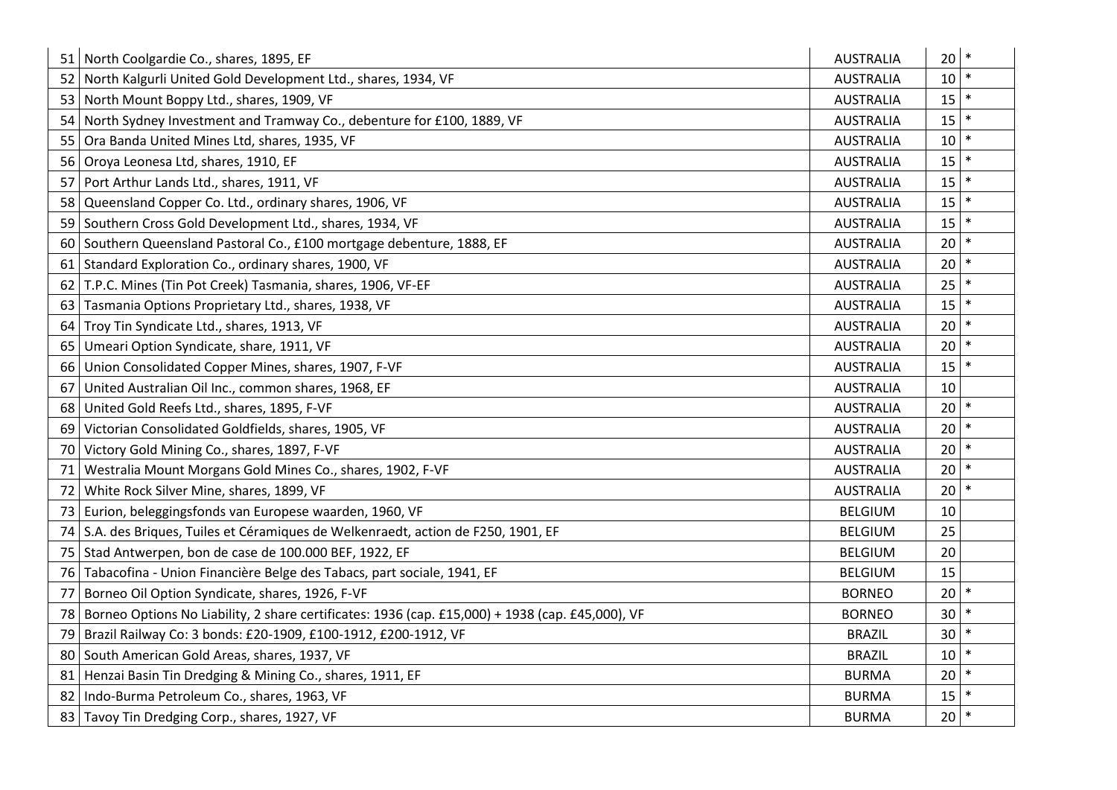|                 | 51 North Coolgardie Co., shares, 1895, EF                                                        | <b>AUSTRALIA</b> | 20     |        |
|-----------------|--------------------------------------------------------------------------------------------------|------------------|--------|--------|
|                 | 52 North Kalgurli United Gold Development Ltd., shares, 1934, VF                                 | <b>AUSTRALIA</b> | 10     |        |
| 53 I            | North Mount Boppy Ltd., shares, 1909, VF                                                         | <b>AUSTRALIA</b> | 15     |        |
| 54              | North Sydney Investment and Tramway Co., debenture for £100, 1889, VF                            | <b>AUSTRALIA</b> | 15     | $\ast$ |
| 55              | Ora Banda United Mines Ltd, shares, 1935, VF                                                     | <b>AUSTRALIA</b> | 10     |        |
| 56              | Oroya Leonesa Ltd, shares, 1910, EF                                                              | <b>AUSTRALIA</b> | 15     | $\ast$ |
| 57              | Port Arthur Lands Ltd., shares, 1911, VF                                                         | <b>AUSTRALIA</b> | 15     |        |
| 58              | Queensland Copper Co. Ltd., ordinary shares, 1906, VF                                            | <b>AUSTRALIA</b> | 15     | $\ast$ |
| 59              | Southern Cross Gold Development Ltd., shares, 1934, VF                                           | <b>AUSTRALIA</b> | 15     |        |
| 60              | Southern Queensland Pastoral Co., £100 mortgage debenture, 1888, EF                              | <b>AUSTRALIA</b> | 20     | $\ast$ |
| 61              | Standard Exploration Co., ordinary shares, 1900, VF                                              | <b>AUSTRALIA</b> | 20     |        |
| 62              | T.P.C. Mines (Tin Pot Creek) Tasmania, shares, 1906, VF-EF                                       | <b>AUSTRALIA</b> | 25     | $\ast$ |
| 63              | Tasmania Options Proprietary Ltd., shares, 1938, VF                                              | <b>AUSTRALIA</b> | 15     |        |
| 64              | Troy Tin Syndicate Ltd., shares, 1913, VF                                                        | <b>AUSTRALIA</b> | 20     | $\ast$ |
| 65              | Umeari Option Syndicate, share, 1911, VF                                                         | <b>AUSTRALIA</b> | 20     |        |
| 66              | Union Consolidated Copper Mines, shares, 1907, F-VF                                              | <b>AUSTRALIA</b> | 15     |        |
| 67              | United Australian Oil Inc., common shares, 1968, EF                                              | <b>AUSTRALIA</b> | 10     |        |
| 68              | United Gold Reefs Ltd., shares, 1895, F-VF                                                       | <b>AUSTRALIA</b> | 20     |        |
| 69              | Victorian Consolidated Goldfields, shares, 1905, VF                                              | <b>AUSTRALIA</b> | 20     |        |
| 70              | Victory Gold Mining Co., shares, 1897, F-VF                                                      | <b>AUSTRALIA</b> | 20     |        |
| 71              | Westralia Mount Morgans Gold Mines Co., shares, 1902, F-VF                                       | <b>AUSTRALIA</b> | 20     |        |
| 72              | White Rock Silver Mine, shares, 1899, VF                                                         | <b>AUSTRALIA</b> | 20     |        |
| 73 I            | Eurion, beleggingsfonds van Europese waarden, 1960, VF                                           | <b>BELGIUM</b>   | 10     |        |
| 74              | S.A. des Briques, Tuiles et Céramiques de Welkenraedt, action de F250, 1901, EF                  | <b>BELGIUM</b>   | 25     |        |
| 75 <sub>1</sub> | Stad Antwerpen, bon de case de 100.000 BEF, 1922, EF                                             | <b>BELGIUM</b>   | 20     |        |
| 76              | Tabacofina - Union Financière Belge des Tabacs, part sociale, 1941, EF                           | <b>BELGIUM</b>   | 15     |        |
| 77              | Borneo Oil Option Syndicate, shares, 1926, F-VF                                                  | <b>BORNEO</b>    | 20     |        |
| 78              | Borneo Options No Liability, 2 share certificates: 1936 (cap. £15,000) + 1938 (cap. £45,000), VF | <b>BORNEO</b>    | 30     |        |
| 79              | Brazil Railway Co: 3 bonds: £20-1909, £100-1912, £200-1912, VF                                   | <b>BRAZIL</b>    | 30     |        |
| 80              | South American Gold Areas, shares, 1937, VF                                                      | <b>BRAZIL</b>    | 10     |        |
| 81              | Henzai Basin Tin Dredging & Mining Co., shares, 1911, EF                                         | <b>BURMA</b>     | 20     | $\ast$ |
| 82              | Indo-Burma Petroleum Co., shares, 1963, VF                                                       | <b>BURMA</b>     | 15     |        |
| 83              | Tavoy Tin Dredging Corp., shares, 1927, VF                                                       | <b>BURMA</b>     | $20$ * |        |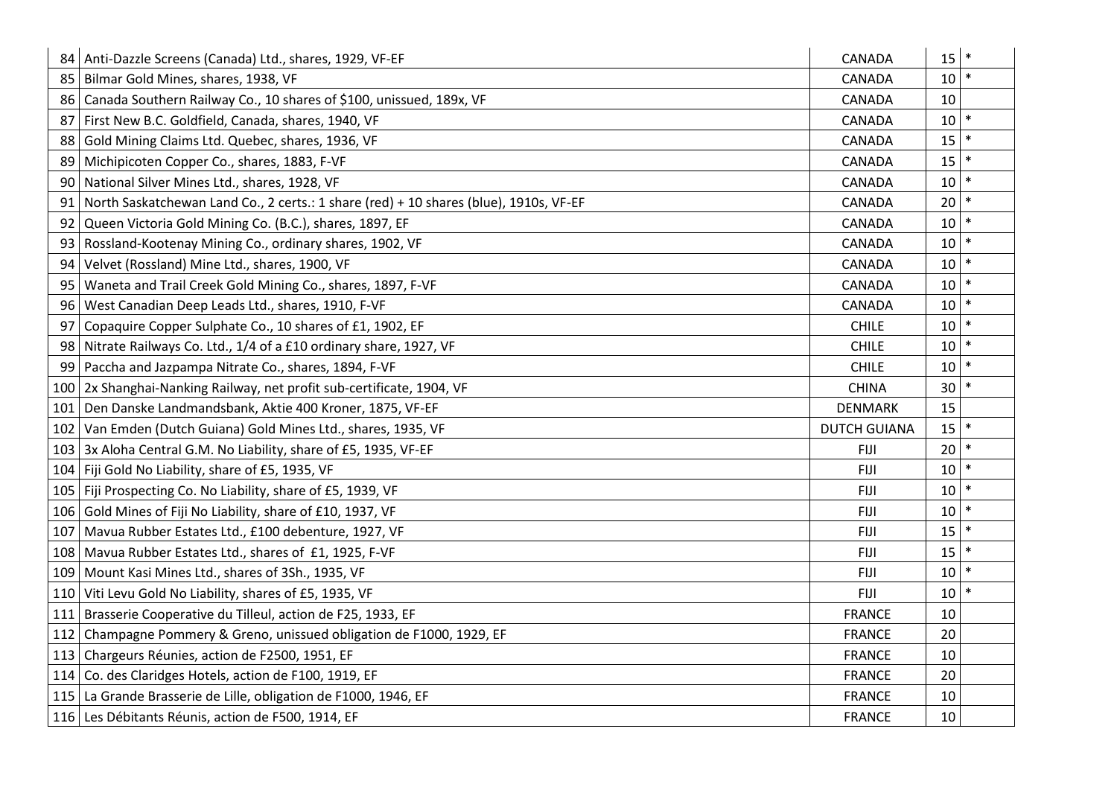| 84  | Anti-Dazzle Screens (Canada) Ltd., shares, 1929, VF-EF                                | CANADA              | 15 | $\ast$ |
|-----|---------------------------------------------------------------------------------------|---------------------|----|--------|
| 85  | Bilmar Gold Mines, shares, 1938, VF                                                   | <b>CANADA</b>       | 10 |        |
| 86  | Canada Southern Railway Co., 10 shares of \$100, unissued, 189x, VF                   | CANADA              | 10 |        |
| 87  | First New B.C. Goldfield, Canada, shares, 1940, VF                                    | CANADA              | 10 |        |
| 88  | Gold Mining Claims Ltd. Quebec, shares, 1936, VF                                      | CANADA              | 15 |        |
| 89  | Michipicoten Copper Co., shares, 1883, F-VF                                           | <b>CANADA</b>       | 15 | $\ast$ |
| 90  | National Silver Mines Ltd., shares, 1928, VF                                          | CANADA              | 10 | *      |
| 91  | North Saskatchewan Land Co., 2 certs.: 1 share (red) + 10 shares (blue), 1910s, VF-EF | CANADA              | 20 |        |
| 92  | Queen Victoria Gold Mining Co. (B.C.), shares, 1897, EF                               | CANADA              | 10 |        |
| 93  | Rossland-Kootenay Mining Co., ordinary shares, 1902, VF                               | CANADA              | 10 | $\ast$ |
| 94  | Velvet (Rossland) Mine Ltd., shares, 1900, VF                                         | CANADA              | 10 | *      |
| 95  | Waneta and Trail Creek Gold Mining Co., shares, 1897, F-VF                            | CANADA              | 10 |        |
| 96  | West Canadian Deep Leads Ltd., shares, 1910, F-VF                                     | CANADA              | 10 |        |
| 97  | Copaquire Copper Sulphate Co., 10 shares of £1, 1902, EF                              | <b>CHILE</b>        | 10 | $\ast$ |
| 98  | Nitrate Railways Co. Ltd., 1/4 of a £10 ordinary share, 1927, VF                      | <b>CHILE</b>        | 10 |        |
| 99  | Paccha and Jazpampa Nitrate Co., shares, 1894, F-VF                                   | <b>CHILE</b>        | 10 |        |
| 100 | 2x Shanghai-Nanking Railway, net profit sub-certificate, 1904, VF                     | <b>CHINA</b>        | 30 |        |
| 101 | Den Danske Landmandsbank, Aktie 400 Kroner, 1875, VF-EF                               | <b>DENMARK</b>      | 15 |        |
| 102 | Van Emden (Dutch Guiana) Gold Mines Ltd., shares, 1935, VF                            | <b>DUTCH GUIANA</b> | 15 |        |
| 103 | 3x Aloha Central G.M. No Liability, share of £5, 1935, VF-EF                          | <b>FIJI</b>         | 20 |        |
|     | 104   Fiji Gold No Liability, share of £5, 1935, VF                                   | FIJI                | 10 |        |
|     | 105   Fiji Prospecting Co. No Liability, share of £5, 1939, VF                        | <b>FIJI</b>         | 10 |        |
|     | 106 Gold Mines of Fiji No Liability, share of £10, 1937, VF                           | <b>FIJI</b>         | 10 |        |
| 107 | Mavua Rubber Estates Ltd., £100 debenture, 1927, VF                                   | <b>FIJI</b>         | 15 |        |
|     | 108 Mavua Rubber Estates Ltd., shares of £1, 1925, F-VF                               | <b>FIJI</b>         | 15 |        |
|     | 109 Mount Kasi Mines Ltd., shares of 3Sh., 1935, VF                                   | <b>FIJI</b>         | 10 |        |
|     | 110 Viti Levu Gold No Liability, shares of £5, 1935, VF                               | <b>FIJI</b>         | 10 |        |
| 111 | Brasserie Cooperative du Tilleul, action de F25, 1933, EF                             | <b>FRANCE</b>       | 10 |        |
| 112 | Champagne Pommery & Greno, unissued obligation de F1000, 1929, EF                     | <b>FRANCE</b>       | 20 |        |
|     | 113 Chargeurs Réunies, action de F2500, 1951, EF                                      | <b>FRANCE</b>       | 10 |        |
|     | 114   Co. des Claridges Hotels, action de F100, 1919, EF                              | <b>FRANCE</b>       | 20 |        |
|     | 115 La Grande Brasserie de Lille, obligation de F1000, 1946, EF                       | <b>FRANCE</b>       | 10 |        |
|     | 116 Les Débitants Réunis, action de F500, 1914, EF                                    | <b>FRANCE</b>       | 10 |        |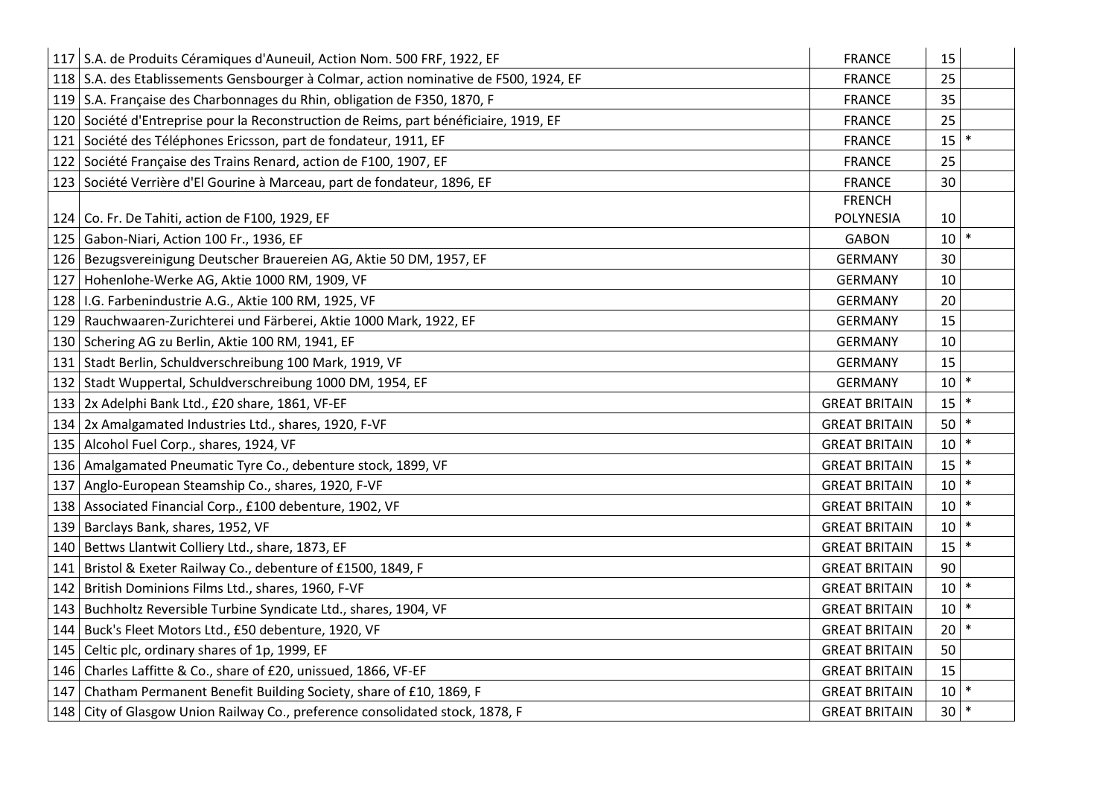|     | 117 S.A. de Produits Céramiques d'Auneuil, Action Nom. 500 FRF, 1922, EF              | <b>FRANCE</b>        | 15 |        |
|-----|---------------------------------------------------------------------------------------|----------------------|----|--------|
|     | 118 S.A. des Etablissements Gensbourger à Colmar, action nominative de F500, 1924, EF | <b>FRANCE</b>        | 25 |        |
|     | 119 S.A. Française des Charbonnages du Rhin, obligation de F350, 1870, F              | <b>FRANCE</b>        | 35 |        |
|     | 120 Société d'Entreprise pour la Reconstruction de Reims, part bénéficiaire, 1919, EF | <b>FRANCE</b>        | 25 |        |
| 121 | Société des Téléphones Ericsson, part de fondateur, 1911, EF                          | <b>FRANCE</b>        | 15 |        |
| 122 | Société Française des Trains Renard, action de F100, 1907, EF                         | <b>FRANCE</b>        | 25 |        |
|     | 123 Société Verrière d'El Gourine à Marceau, part de fondateur, 1896, EF              | <b>FRANCE</b>        | 30 |        |
|     |                                                                                       | <b>FRENCH</b>        |    |        |
|     | 124 Co. Fr. De Tahiti, action de F100, 1929, EF                                       | <b>POLYNESIA</b>     | 10 |        |
| 125 | Gabon-Niari, Action 100 Fr., 1936, EF                                                 | <b>GABON</b>         | 10 |        |
| 126 | Bezugsvereinigung Deutscher Brauereien AG, Aktie 50 DM, 1957, EF                      | <b>GERMANY</b>       | 30 |        |
| 127 | Hohenlohe-Werke AG, Aktie 1000 RM, 1909, VF                                           | <b>GERMANY</b>       | 10 |        |
| 128 | I.G. Farbenindustrie A.G., Aktie 100 RM, 1925, VF                                     | <b>GERMANY</b>       | 20 |        |
| 129 | Rauchwaaren-Zurichterei und Färberei, Aktie 1000 Mark, 1922, EF                       | <b>GERMANY</b>       | 15 |        |
| 130 | Schering AG zu Berlin, Aktie 100 RM, 1941, EF                                         | <b>GERMANY</b>       | 10 |        |
| 131 | Stadt Berlin, Schuldverschreibung 100 Mark, 1919, VF                                  | <b>GERMANY</b>       | 15 |        |
| 132 | Stadt Wuppertal, Schuldverschreibung 1000 DM, 1954, EF                                | <b>GERMANY</b>       | 10 |        |
| 133 | 2x Adelphi Bank Ltd., £20 share, 1861, VF-EF                                          | <b>GREAT BRITAIN</b> | 15 |        |
| 134 | 2x Amalgamated Industries Ltd., shares, 1920, F-VF                                    | <b>GREAT BRITAIN</b> | 50 | $\ast$ |
| 135 | Alcohol Fuel Corp., shares, 1924, VF                                                  | <b>GREAT BRITAIN</b> | 10 |        |
| 136 | Amalgamated Pneumatic Tyre Co., debenture stock, 1899, VF                             | <b>GREAT BRITAIN</b> | 15 |        |
| 137 | Anglo-European Steamship Co., shares, 1920, F-VF                                      | <b>GREAT BRITAIN</b> | 10 |        |
| 138 | Associated Financial Corp., £100 debenture, 1902, VF                                  | <b>GREAT BRITAIN</b> | 10 |        |
| 139 | Barclays Bank, shares, 1952, VF                                                       | <b>GREAT BRITAIN</b> | 10 | $\ast$ |
| 140 | Bettws Llantwit Colliery Ltd., share, 1873, EF                                        | <b>GREAT BRITAIN</b> | 15 |        |
| 141 | Bristol & Exeter Railway Co., debenture of £1500, 1849, F                             | <b>GREAT BRITAIN</b> | 90 |        |
| 142 | British Dominions Films Ltd., shares, 1960, F-VF                                      | <b>GREAT BRITAIN</b> | 10 |        |
| 143 | Buchholtz Reversible Turbine Syndicate Ltd., shares, 1904, VF                         | <b>GREAT BRITAIN</b> | 10 |        |
| 144 | Buck's Fleet Motors Ltd., £50 debenture, 1920, VF                                     | <b>GREAT BRITAIN</b> | 20 |        |
| 145 | Celtic plc, ordinary shares of 1p, 1999, EF                                           | <b>GREAT BRITAIN</b> | 50 |        |
| 146 | Charles Laffitte & Co., share of £20, unissued, 1866, VF-EF                           | <b>GREAT BRITAIN</b> | 15 |        |
| 147 | Chatham Permanent Benefit Building Society, share of £10, 1869, F                     | <b>GREAT BRITAIN</b> | 10 |        |
|     | 148   City of Glasgow Union Railway Co., preference consolidated stock, 1878, F       | <b>GREAT BRITAIN</b> | 30 | ∗      |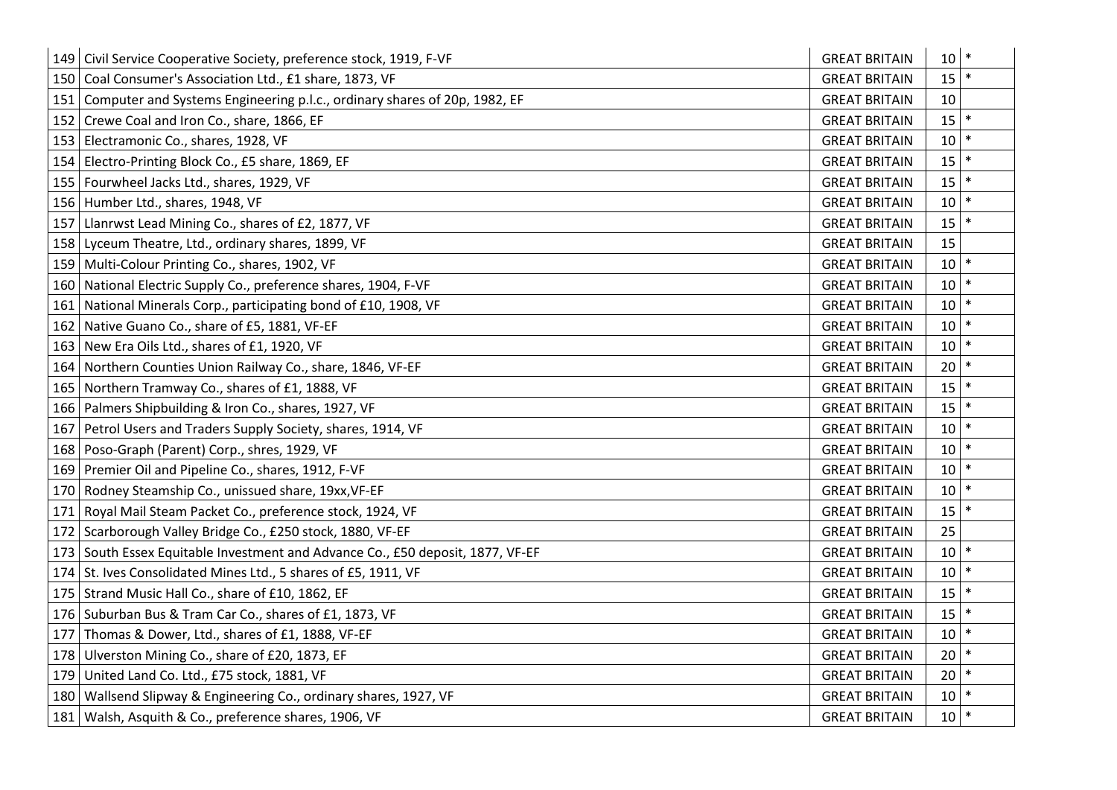| 149 | Civil Service Cooperative Society, preference stock, 1919, F-VF                | <b>GREAT BRITAIN</b> | 10 | $\ast$ |
|-----|--------------------------------------------------------------------------------|----------------------|----|--------|
| 150 | Coal Consumer's Association Ltd., £1 share, 1873, VF                           | <b>GREAT BRITAIN</b> | 15 |        |
| 151 | Computer and Systems Engineering p.l.c., ordinary shares of 20p, 1982, EF      | <b>GREAT BRITAIN</b> | 10 |        |
| 152 | Crewe Coal and Iron Co., share, 1866, EF                                       | <b>GREAT BRITAIN</b> | 15 |        |
| 153 | Electramonic Co., shares, 1928, VF                                             | <b>GREAT BRITAIN</b> | 10 |        |
| 154 | Electro-Printing Block Co., £5 share, 1869, EF                                 | <b>GREAT BRITAIN</b> | 15 | $\ast$ |
| 155 | Fourwheel Jacks Ltd., shares, 1929, VF                                         | <b>GREAT BRITAIN</b> | 15 |        |
| 156 | Humber Ltd., shares, 1948, VF                                                  | <b>GREAT BRITAIN</b> | 10 | $\ast$ |
| 157 | Llanrwst Lead Mining Co., shares of £2, 1877, VF                               | <b>GREAT BRITAIN</b> | 15 |        |
| 158 | Lyceum Theatre, Ltd., ordinary shares, 1899, VF                                | <b>GREAT BRITAIN</b> | 15 |        |
| 159 | Multi-Colour Printing Co., shares, 1902, VF                                    | <b>GREAT BRITAIN</b> | 10 |        |
| 160 | National Electric Supply Co., preference shares, 1904, F-VF                    | <b>GREAT BRITAIN</b> | 10 | $\ast$ |
| 161 | National Minerals Corp., participating bond of £10, 1908, VF                   | <b>GREAT BRITAIN</b> | 10 |        |
| 162 | Native Guano Co., share of £5, 1881, VF-EF                                     | <b>GREAT BRITAIN</b> | 10 | $\ast$ |
| 163 | New Era Oils Ltd., shares of £1, 1920, VF                                      | <b>GREAT BRITAIN</b> | 10 | $\ast$ |
| 164 | Northern Counties Union Railway Co., share, 1846, VF-EF                        | <b>GREAT BRITAIN</b> | 20 | $\ast$ |
| 165 | Northern Tramway Co., shares of £1, 1888, VF                                   | <b>GREAT BRITAIN</b> | 15 |        |
| 166 | Palmers Shipbuilding & Iron Co., shares, 1927, VF                              | <b>GREAT BRITAIN</b> | 15 | $\ast$ |
| 167 | Petrol Users and Traders Supply Society, shares, 1914, VF                      | <b>GREAT BRITAIN</b> | 10 | $\ast$ |
| 168 | Poso-Graph (Parent) Corp., shres, 1929, VF                                     | <b>GREAT BRITAIN</b> | 10 |        |
| 169 | Premier Oil and Pipeline Co., shares, 1912, F-VF                               | <b>GREAT BRITAIN</b> | 10 |        |
| 170 | Rodney Steamship Co., unissued share, 19xx, VF-EF                              | <b>GREAT BRITAIN</b> | 10 |        |
| 171 | Royal Mail Steam Packet Co., preference stock, 1924, VF                        | <b>GREAT BRITAIN</b> | 15 | $\ast$ |
| 172 | Scarborough Valley Bridge Co., £250 stock, 1880, VF-EF                         | <b>GREAT BRITAIN</b> | 25 |        |
|     | 173 South Essex Equitable Investment and Advance Co., £50 deposit, 1877, VF-EF | <b>GREAT BRITAIN</b> | 10 | $\ast$ |
| 174 | St. Ives Consolidated Mines Ltd., 5 shares of £5, 1911, VF                     | <b>GREAT BRITAIN</b> | 10 |        |
|     | 175 Strand Music Hall Co., share of £10, 1862, EF                              | <b>GREAT BRITAIN</b> | 15 | $\ast$ |
| 176 | Suburban Bus & Tram Car Co., shares of £1, 1873, VF                            | <b>GREAT BRITAIN</b> | 15 |        |
| 177 | Thomas & Dower, Ltd., shares of £1, 1888, VF-EF                                | <b>GREAT BRITAIN</b> | 10 | $\ast$ |
| 178 | Ulverston Mining Co., share of £20, 1873, EF                                   | <b>GREAT BRITAIN</b> | 20 |        |
| 179 | United Land Co. Ltd., £75 stock, 1881, VF                                      | <b>GREAT BRITAIN</b> | 20 | $\ast$ |
| 180 | Wallsend Slipway & Engineering Co., ordinary shares, 1927, VF                  | <b>GREAT BRITAIN</b> | 10 |        |
| 181 | Walsh, Asquith & Co., preference shares, 1906, VF                              | <b>GREAT BRITAIN</b> | 10 | $\ast$ |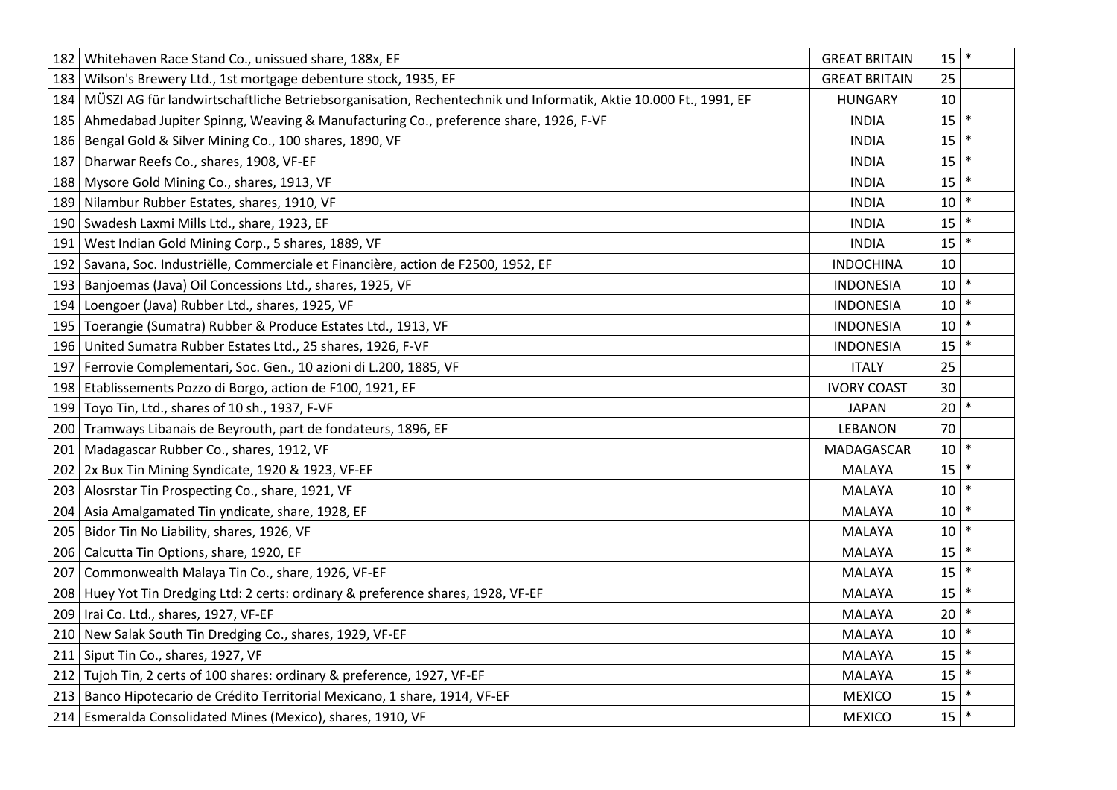| 182 | Whitehaven Race Stand Co., unissued share, 188x, EF                                                             | <b>GREAT BRITAIN</b> | 15 |        |
|-----|-----------------------------------------------------------------------------------------------------------------|----------------------|----|--------|
| 183 | Wilson's Brewery Ltd., 1st mortgage debenture stock, 1935, EF                                                   | <b>GREAT BRITAIN</b> | 25 |        |
| 184 | MÜSZI AG für landwirtschaftliche Betriebsorganisation, Rechentechnik und Informatik, Aktie 10.000 Ft., 1991, EF | <b>HUNGARY</b>       | 10 |        |
| 185 | Ahmedabad Jupiter Spinng, Weaving & Manufacturing Co., preference share, 1926, F-VF                             | <b>INDIA</b>         | 15 |        |
| 186 | Bengal Gold & Silver Mining Co., 100 shares, 1890, VF                                                           | <b>INDIA</b>         | 15 |        |
| 187 | Dharwar Reefs Co., shares, 1908, VF-EF                                                                          | <b>INDIA</b>         | 15 |        |
| 188 | Mysore Gold Mining Co., shares, 1913, VF                                                                        | <b>INDIA</b>         | 15 |        |
| 189 | Nilambur Rubber Estates, shares, 1910, VF                                                                       | <b>INDIA</b>         | 10 |        |
| 190 | Swadesh Laxmi Mills Ltd., share, 1923, EF                                                                       | <b>INDIA</b>         | 15 |        |
| 191 | West Indian Gold Mining Corp., 5 shares, 1889, VF                                                               | <b>INDIA</b>         | 15 |        |
| 192 | Savana, Soc. Industriëlle, Commerciale et Financière, action de F2500, 1952, EF                                 | <b>INDOCHINA</b>     | 10 |        |
| 193 | Banjoemas (Java) Oil Concessions Ltd., shares, 1925, VF                                                         | <b>INDONESIA</b>     | 10 |        |
| 194 | Loengoer (Java) Rubber Ltd., shares, 1925, VF                                                                   | <b>INDONESIA</b>     | 10 |        |
| 195 | Toerangie (Sumatra) Rubber & Produce Estates Ltd., 1913, VF                                                     | <b>INDONESIA</b>     | 10 |        |
| 196 | United Sumatra Rubber Estates Ltd., 25 shares, 1926, F-VF                                                       | <b>INDONESIA</b>     | 15 |        |
| 197 | Ferrovie Complementari, Soc. Gen., 10 azioni di L.200, 1885, VF                                                 | <b>ITALY</b>         | 25 |        |
| 198 | Etablissements Pozzo di Borgo, action de F100, 1921, EF                                                         | <b>IVORY COAST</b>   | 30 |        |
| 199 | Toyo Tin, Ltd., shares of 10 sh., 1937, F-VF                                                                    | <b>JAPAN</b>         | 20 |        |
| 200 | Tramways Libanais de Beyrouth, part de fondateurs, 1896, EF                                                     | <b>LEBANON</b>       | 70 |        |
| 201 | Madagascar Rubber Co., shares, 1912, VF                                                                         | MADAGASCAR           | 10 |        |
| 202 | 2x Bux Tin Mining Syndicate, 1920 & 1923, VF-EF                                                                 | <b>MALAYA</b>        | 15 |        |
| 203 | Alosrstar Tin Prospecting Co., share, 1921, VF                                                                  | <b>MALAYA</b>        | 10 |        |
| 204 | Asia Amalgamated Tin yndicate, share, 1928, EF                                                                  | <b>MALAYA</b>        | 10 |        |
| 205 | Bidor Tin No Liability, shares, 1926, VF                                                                        | <b>MALAYA</b>        | 10 |        |
| 206 | Calcutta Tin Options, share, 1920, EF                                                                           | MALAYA               | 15 |        |
| 207 | Commonwealth Malaya Tin Co., share, 1926, VF-EF                                                                 | <b>MALAYA</b>        | 15 | $\ast$ |
|     | 208   Huey Yot Tin Dredging Ltd: 2 certs: ordinary & preference shares, 1928, VF-EF                             | <b>MALAYA</b>        | 15 |        |
| 209 | Irai Co. Ltd., shares, 1927, VF-EF                                                                              | <b>MALAYA</b>        | 20 |        |
| 210 | New Salak South Tin Dredging Co., shares, 1929, VF-EF                                                           | <b>MALAYA</b>        | 10 |        |
| 211 | Siput Tin Co., shares, 1927, VF                                                                                 | <b>MALAYA</b>        | 15 |        |
| 212 | Tujoh Tin, 2 certs of 100 shares: ordinary & preference, 1927, VF-EF                                            | MALAYA               | 15 |        |
| 213 | Banco Hipotecario de Crédito Territorial Mexicano, 1 share, 1914, VF-EF                                         | <b>MEXICO</b>        | 15 |        |
|     | 214 Esmeralda Consolidated Mines (Mexico), shares, 1910, VF                                                     | <b>MEXICO</b>        | 15 | $\ast$ |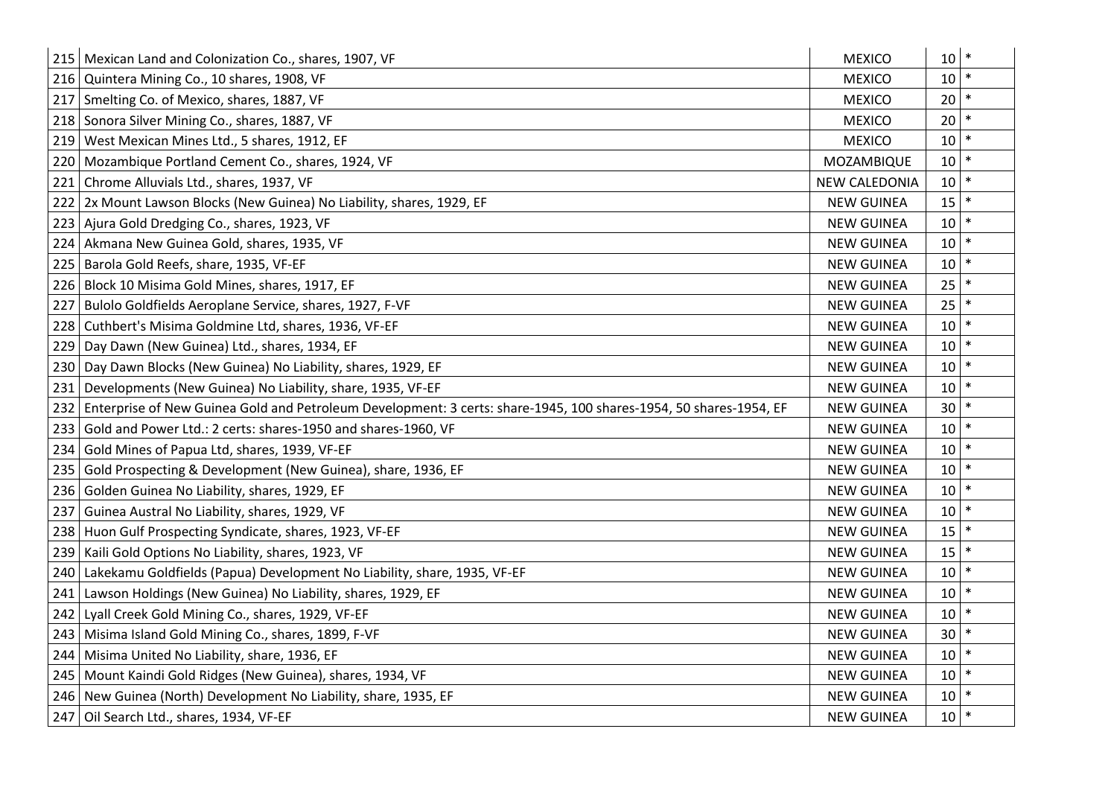| 215 | Mexican Land and Colonization Co., shares, 1907, VF                                                               | <b>MEXICO</b>        | 10 |        |
|-----|-------------------------------------------------------------------------------------------------------------------|----------------------|----|--------|
| 216 | Quintera Mining Co., 10 shares, 1908, VF                                                                          | <b>MEXICO</b>        | 10 |        |
| 217 | Smelting Co. of Mexico, shares, 1887, VF                                                                          | <b>MEXICO</b>        | 20 |        |
| 218 | Sonora Silver Mining Co., shares, 1887, VF                                                                        | <b>MEXICO</b>        | 20 |        |
| 219 | West Mexican Mines Ltd., 5 shares, 1912, EF                                                                       | <b>MEXICO</b>        | 10 |        |
| 220 | Mozambique Portland Cement Co., shares, 1924, VF                                                                  | MOZAMBIQUE           | 10 |        |
| 221 | Chrome Alluvials Ltd., shares, 1937, VF                                                                           | <b>NEW CALEDONIA</b> | 10 |        |
| 222 | 2x Mount Lawson Blocks (New Guinea) No Liability, shares, 1929, EF                                                | <b>NEW GUINEA</b>    | 15 | $\ast$ |
| 223 | Ajura Gold Dredging Co., shares, 1923, VF                                                                         | <b>NEW GUINEA</b>    | 10 |        |
| 224 | Akmana New Guinea Gold, shares, 1935, VF                                                                          | <b>NEW GUINEA</b>    | 10 | $\ast$ |
| 225 | Barola Gold Reefs, share, 1935, VF-EF                                                                             | <b>NEW GUINEA</b>    | 10 |        |
| 226 | Block 10 Misima Gold Mines, shares, 1917, EF                                                                      | <b>NEW GUINEA</b>    | 25 | $\ast$ |
| 227 | Bulolo Goldfields Aeroplane Service, shares, 1927, F-VF                                                           | <b>NEW GUINEA</b>    | 25 |        |
| 228 | Cuthbert's Misima Goldmine Ltd, shares, 1936, VF-EF                                                               | <b>NEW GUINEA</b>    | 10 | $\ast$ |
| 229 | Day Dawn (New Guinea) Ltd., shares, 1934, EF                                                                      | <b>NEW GUINEA</b>    | 10 |        |
| 230 | Day Dawn Blocks (New Guinea) No Liability, shares, 1929, EF                                                       | <b>NEW GUINEA</b>    | 10 | $\ast$ |
| 231 | Developments (New Guinea) No Liability, share, 1935, VF-EF                                                        | <b>NEW GUINEA</b>    | 10 |        |
| 232 | Enterprise of New Guinea Gold and Petroleum Development: 3 certs: share-1945, 100 shares-1954, 50 shares-1954, EF | <b>NEW GUINEA</b>    | 30 | $\ast$ |
| 233 | Gold and Power Ltd.: 2 certs: shares-1950 and shares-1960, VF                                                     | <b>NEW GUINEA</b>    | 10 |        |
| 234 | Gold Mines of Papua Ltd, shares, 1939, VF-EF                                                                      | <b>NEW GUINEA</b>    | 10 |        |
| 235 | Gold Prospecting & Development (New Guinea), share, 1936, EF                                                      | <b>NEW GUINEA</b>    | 10 |        |
| 236 | Golden Guinea No Liability, shares, 1929, EF                                                                      | <b>NEW GUINEA</b>    | 10 | $\ast$ |
| 237 | Guinea Austral No Liability, shares, 1929, VF                                                                     | <b>NEW GUINEA</b>    | 10 |        |
| 238 | Huon Gulf Prospecting Syndicate, shares, 1923, VF-EF                                                              | <b>NEW GUINEA</b>    | 15 |        |
| 239 | Kaili Gold Options No Liability, shares, 1923, VF                                                                 | <b>NEW GUINEA</b>    | 15 |        |
| 240 | Lakekamu Goldfields (Papua) Development No Liability, share, 1935, VF-EF                                          | <b>NEW GUINEA</b>    | 10 | ∗      |
| 241 | Lawson Holdings (New Guinea) No Liability, shares, 1929, EF                                                       | <b>NEW GUINEA</b>    | 10 |        |
| 242 | Lyall Creek Gold Mining Co., shares, 1929, VF-EF                                                                  | <b>NEW GUINEA</b>    | 10 |        |
| 243 | Misima Island Gold Mining Co., shares, 1899, F-VF                                                                 | <b>NEW GUINEA</b>    | 30 |        |
| 244 | Misima United No Liability, share, 1936, EF                                                                       | <b>NEW GUINEA</b>    | 10 |        |
| 245 | Mount Kaindi Gold Ridges (New Guinea), shares, 1934, VF                                                           | <b>NEW GUINEA</b>    | 10 |        |
| 246 | New Guinea (North) Development No Liability, share, 1935, EF                                                      | <b>NEW GUINEA</b>    | 10 |        |
| 247 | Oil Search Ltd., shares, 1934, VF-EF                                                                              | <b>NEW GUINEA</b>    | 10 | $\ast$ |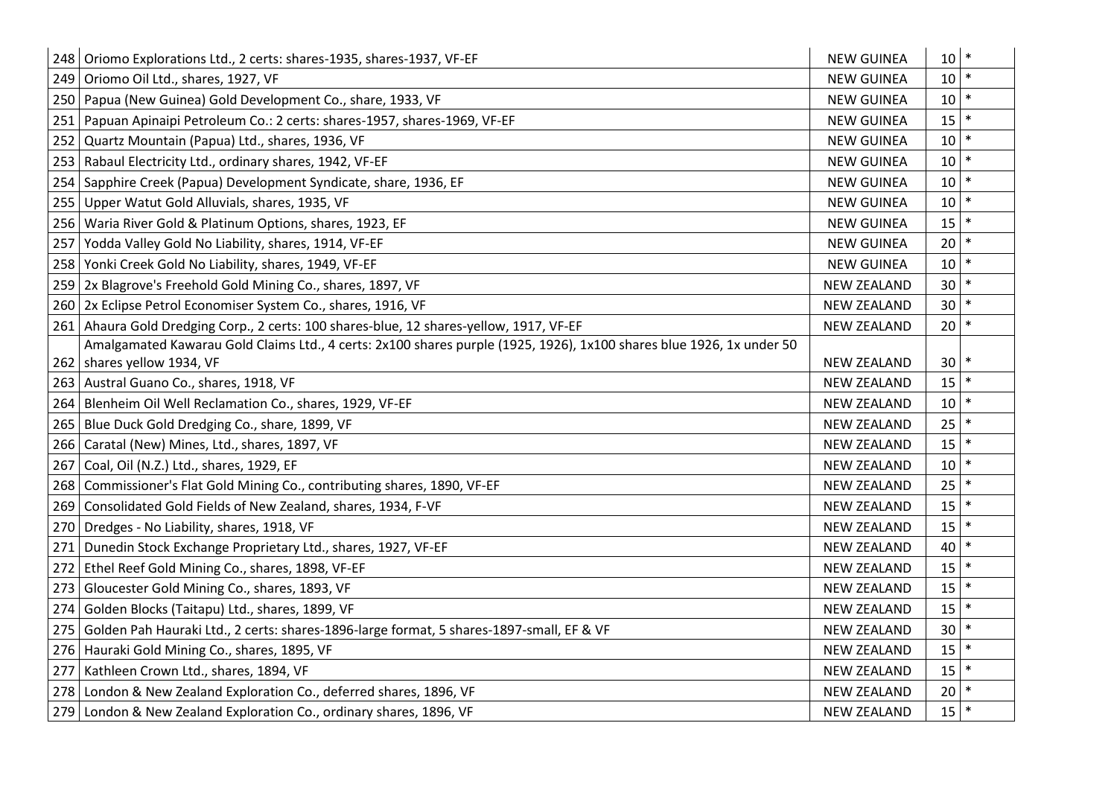|     | 248 Oriomo Explorations Ltd., 2 certs: shares-1935, shares-1937, VF-EF                                               | <b>NEW GUINEA</b>  | 10 |        |
|-----|----------------------------------------------------------------------------------------------------------------------|--------------------|----|--------|
| 249 | Oriomo Oil Ltd., shares, 1927, VF                                                                                    | <b>NEW GUINEA</b>  | 10 | $\ast$ |
| 250 | Papua (New Guinea) Gold Development Co., share, 1933, VF                                                             | <b>NEW GUINEA</b>  | 10 |        |
| 251 | Papuan Apinaipi Petroleum Co.: 2 certs: shares-1957, shares-1969, VF-EF                                              | <b>NEW GUINEA</b>  | 15 | $\ast$ |
| 252 | Quartz Mountain (Papua) Ltd., shares, 1936, VF                                                                       | <b>NEW GUINEA</b>  | 10 |        |
| 253 | Rabaul Electricity Ltd., ordinary shares, 1942, VF-EF                                                                | <b>NEW GUINEA</b>  | 10 |        |
| 254 | Sapphire Creek (Papua) Development Syndicate, share, 1936, EF                                                        | <b>NEW GUINEA</b>  | 10 |        |
| 255 | Upper Watut Gold Alluvials, shares, 1935, VF                                                                         | <b>NEW GUINEA</b>  | 10 |        |
| 256 | Waria River Gold & Platinum Options, shares, 1923, EF                                                                | <b>NEW GUINEA</b>  | 15 |        |
| 257 | Yodda Valley Gold No Liability, shares, 1914, VF-EF                                                                  | <b>NEW GUINEA</b>  | 20 |        |
| 258 | Yonki Creek Gold No Liability, shares, 1949, VF-EF                                                                   | <b>NEW GUINEA</b>  | 10 | $\ast$ |
| 259 | 2x Blagrove's Freehold Gold Mining Co., shares, 1897, VF                                                             | <b>NEW ZEALAND</b> | 30 |        |
| 260 | 2x Eclipse Petrol Economiser System Co., shares, 1916, VF                                                            | <b>NEW ZEALAND</b> | 30 | $\ast$ |
|     | 261 Ahaura Gold Dredging Corp., 2 certs: 100 shares-blue, 12 shares-yellow, 1917, VF-EF                              | <b>NEW ZEALAND</b> | 20 |        |
|     | Amalgamated Kawarau Gold Claims Ltd., 4 certs: 2x100 shares purple (1925, 1926), 1x100 shares blue 1926, 1x under 50 |                    |    |        |
|     | 262   shares yellow 1934, VF                                                                                         | <b>NEW ZEALAND</b> | 30 |        |
|     | 263   Austral Guano Co., shares, 1918, VF                                                                            | <b>NEW ZEALAND</b> | 15 |        |
| 264 | Blenheim Oil Well Reclamation Co., shares, 1929, VF-EF                                                               | <b>NEW ZEALAND</b> | 10 |        |
| 265 | Blue Duck Gold Dredging Co., share, 1899, VF                                                                         | <b>NEW ZEALAND</b> | 25 |        |
| 266 | Caratal (New) Mines, Ltd., shares, 1897, VF                                                                          | <b>NEW ZEALAND</b> | 15 | $\ast$ |
| 267 | Coal, Oil (N.Z.) Ltd., shares, 1929, EF                                                                              | <b>NEW ZEALAND</b> | 10 |        |
| 268 | Commissioner's Flat Gold Mining Co., contributing shares, 1890, VF-EF                                                | <b>NEW ZEALAND</b> | 25 | $\ast$ |
| 269 | Consolidated Gold Fields of New Zealand, shares, 1934, F-VF                                                          | <b>NEW ZEALAND</b> | 15 |        |
| 270 | Dredges - No Liability, shares, 1918, VF                                                                             | <b>NEW ZEALAND</b> | 15 | $\ast$ |
| 271 | Dunedin Stock Exchange Proprietary Ltd., shares, 1927, VF-EF                                                         | <b>NEW ZEALAND</b> | 40 |        |
| 272 | Ethel Reef Gold Mining Co., shares, 1898, VF-EF                                                                      | <b>NEW ZEALAND</b> | 15 | $\ast$ |
| 273 | Gloucester Gold Mining Co., shares, 1893, VF                                                                         | <b>NEW ZEALAND</b> | 15 | $\ast$ |
| 274 | Golden Blocks (Taitapu) Ltd., shares, 1899, VF                                                                       | <b>NEW ZEALAND</b> | 15 |        |
| 275 | Golden Pah Hauraki Ltd., 2 certs: shares-1896-large format, 5 shares-1897-small, EF & VF                             | <b>NEW ZEALAND</b> | 30 | $\ast$ |
| 276 | Hauraki Gold Mining Co., shares, 1895, VF                                                                            | <b>NEW ZEALAND</b> | 15 |        |
| 277 | Kathleen Crown Ltd., shares, 1894, VF                                                                                | <b>NEW ZEALAND</b> | 15 | $\ast$ |
| 278 | London & New Zealand Exploration Co., deferred shares, 1896, VF                                                      | <b>NEW ZEALAND</b> | 20 |        |
| 279 | London & New Zealand Exploration Co., ordinary shares, 1896, VF                                                      | <b>NEW ZEALAND</b> | 15 | ∗      |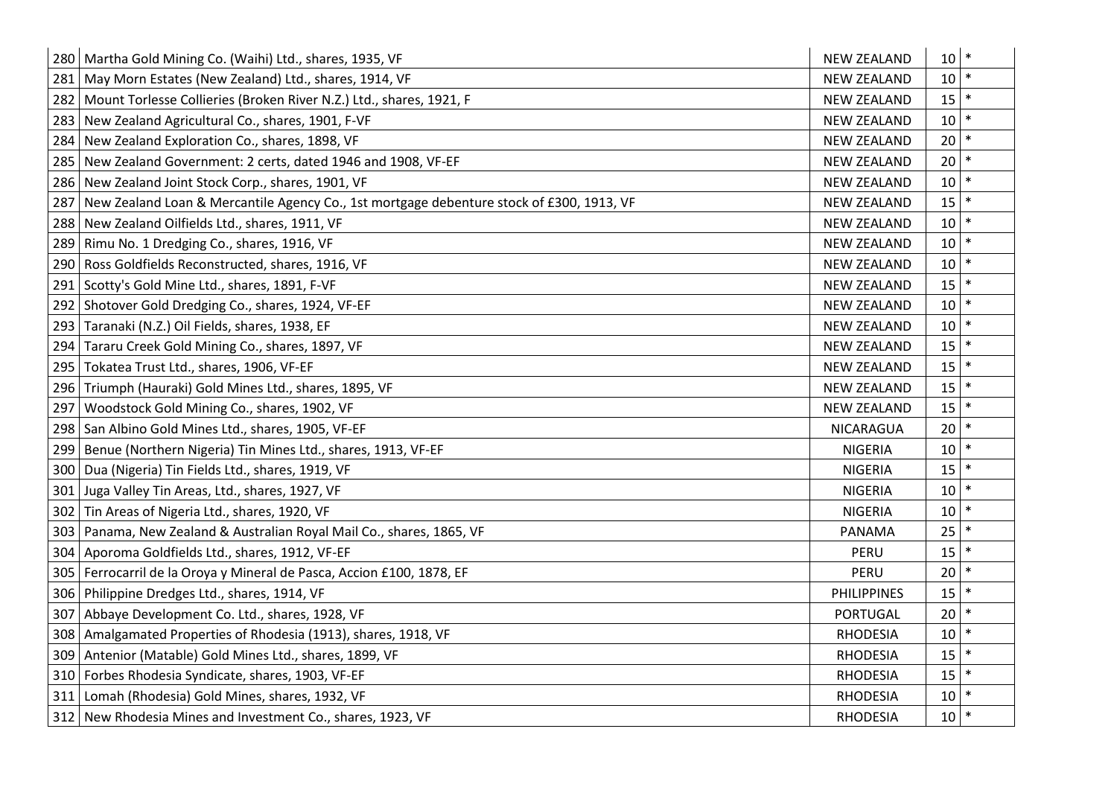|     | 280   Martha Gold Mining Co. (Waihi) Ltd., shares, 1935, VF                                  | <b>NEW ZEALAND</b> | 10 | $\ast$ |
|-----|----------------------------------------------------------------------------------------------|--------------------|----|--------|
|     | 281   May Morn Estates (New Zealand) Ltd., shares, 1914, VF                                  | <b>NEW ZEALAND</b> | 10 |        |
|     | 282 Mount Torlesse Collieries (Broken River N.Z.) Ltd., shares, 1921, F                      | <b>NEW ZEALAND</b> | 15 | $\ast$ |
|     | 283 New Zealand Agricultural Co., shares, 1901, F-VF                                         | <b>NEW ZEALAND</b> | 10 | $\ast$ |
|     | 284 New Zealand Exploration Co., shares, 1898, VF                                            | <b>NEW ZEALAND</b> | 20 |        |
|     | 285 New Zealand Government: 2 certs, dated 1946 and 1908, VF-EF                              | <b>NEW ZEALAND</b> | 20 | $\ast$ |
|     | 286 New Zealand Joint Stock Corp., shares, 1901, VF                                          | <b>NEW ZEALAND</b> | 10 | $\ast$ |
|     | 287 New Zealand Loan & Mercantile Agency Co., 1st mortgage debenture stock of £300, 1913, VF | <b>NEW ZEALAND</b> | 15 | $\ast$ |
|     | 288 New Zealand Oilfields Ltd., shares, 1911, VF                                             | <b>NEW ZEALAND</b> | 10 |        |
|     | 289   Rimu No. 1 Dredging Co., shares, 1916, VF                                              | <b>NEW ZEALAND</b> | 10 | $\ast$ |
|     | 290   Ross Goldfields Reconstructed, shares, 1916, VF                                        | <b>NEW ZEALAND</b> | 10 |        |
|     | 291   Scotty's Gold Mine Ltd., shares, 1891, F-VF                                            | <b>NEW ZEALAND</b> | 15 | $\ast$ |
|     | 292 Shotover Gold Dredging Co., shares, 1924, VF-EF                                          | <b>NEW ZEALAND</b> | 10 |        |
| 293 | Taranaki (N.Z.) Oil Fields, shares, 1938, EF                                                 | <b>NEW ZEALAND</b> | 10 | $\ast$ |
| 294 | Tararu Creek Gold Mining Co., shares, 1897, VF                                               | <b>NEW ZEALAND</b> | 15 | $\ast$ |
| 295 | Tokatea Trust Ltd., shares, 1906, VF-EF                                                      | <b>NEW ZEALAND</b> | 15 | $\ast$ |
| 296 | Triumph (Hauraki) Gold Mines Ltd., shares, 1895, VF                                          | <b>NEW ZEALAND</b> | 15 |        |
| 297 | Woodstock Gold Mining Co., shares, 1902, VF                                                  | <b>NEW ZEALAND</b> | 15 | $\ast$ |
|     | 298 San Albino Gold Mines Ltd., shares, 1905, VF-EF                                          | NICARAGUA          | 20 | $\ast$ |
|     | 299   Benue (Northern Nigeria) Tin Mines Ltd., shares, 1913, VF-EF                           | <b>NIGERIA</b>     | 10 | $\ast$ |
|     | 300   Dua (Nigeria) Tin Fields Ltd., shares, 1919, VF                                        | <b>NIGERIA</b>     | 15 |        |
| 301 | Juga Valley Tin Areas, Ltd., shares, 1927, VF                                                | <b>NIGERIA</b>     | 10 | $\ast$ |
| 302 | Tin Areas of Nigeria Ltd., shares, 1920, VF                                                  | <b>NIGERIA</b>     | 10 | $\ast$ |
| 303 | Panama, New Zealand & Australian Royal Mail Co., shares, 1865, VF                            | PANAMA             | 25 |        |
| 304 | Aporoma Goldfields Ltd., shares, 1912, VF-EF                                                 | PERU               | 15 |        |
|     | 305   Ferrocarril de la Oroya y Mineral de Pasca, Accion £100, 1878, EF                      | PERU               | 20 |        |
|     | 306   Philippine Dredges Ltd., shares, 1914, VF                                              | <b>PHILIPPINES</b> | 15 |        |
| 307 | Abbaye Development Co. Ltd., shares, 1928, VF                                                | <b>PORTUGAL</b>    | 20 |        |
|     | 308   Amalgamated Properties of Rhodesia (1913), shares, 1918, VF                            | <b>RHODESIA</b>    | 10 | $\ast$ |
| 309 | Antenior (Matable) Gold Mines Ltd., shares, 1899, VF                                         | <b>RHODESIA</b>    | 15 |        |
|     | 310   Forbes Rhodesia Syndicate, shares, 1903, VF-EF                                         | <b>RHODESIA</b>    | 15 | $\ast$ |
|     | 311 Lomah (Rhodesia) Gold Mines, shares, 1932, VF                                            | <b>RHODESIA</b>    | 10 |        |
|     | 312 New Rhodesia Mines and Investment Co., shares, 1923, VF                                  | <b>RHODESIA</b>    | 10 | $\ast$ |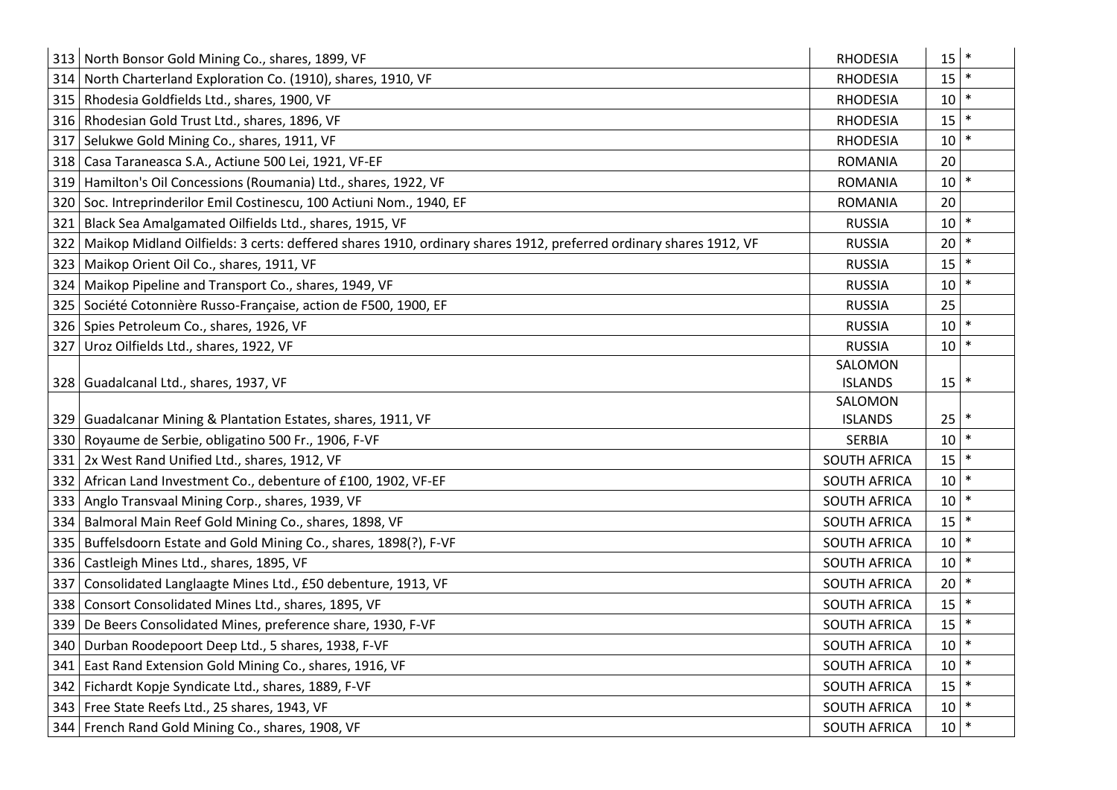|     | 313 North Bonsor Gold Mining Co., shares, 1899, VF                                                                | <b>RHODESIA</b>     | 15 |        |
|-----|-------------------------------------------------------------------------------------------------------------------|---------------------|----|--------|
|     | 314 North Charterland Exploration Co. (1910), shares, 1910, VF                                                    | <b>RHODESIA</b>     | 15 |        |
|     | 315   Rhodesia Goldfields Ltd., shares, 1900, VF                                                                  | <b>RHODESIA</b>     | 10 | $\ast$ |
|     | 316 Rhodesian Gold Trust Ltd., shares, 1896, VF                                                                   | <b>RHODESIA</b>     | 15 |        |
|     | 317   Selukwe Gold Mining Co., shares, 1911, VF                                                                   | <b>RHODESIA</b>     | 10 |        |
|     | 318   Casa Taraneasca S.A., Actiune 500 Lei, 1921, VF-EF                                                          | <b>ROMANIA</b>      | 20 |        |
|     | 319   Hamilton's Oil Concessions (Roumania) Ltd., shares, 1922, VF                                                | <b>ROMANIA</b>      | 10 |        |
|     | 320 Soc. Intreprinderilor Emil Costinescu, 100 Actiuni Nom., 1940, EF                                             | <b>ROMANIA</b>      | 20 |        |
|     | 321   Black Sea Amalgamated Oilfields Ltd., shares, 1915, VF                                                      | <b>RUSSIA</b>       | 10 |        |
| 322 | Maikop Midland Oilfields: 3 certs: deffered shares 1910, ordinary shares 1912, preferred ordinary shares 1912, VF | <b>RUSSIA</b>       | 20 |        |
|     | 323   Maikop Orient Oil Co., shares, 1911, VF                                                                     | <b>RUSSIA</b>       | 15 |        |
|     | 324 Maikop Pipeline and Transport Co., shares, 1949, VF                                                           | <b>RUSSIA</b>       | 10 |        |
|     | 325 Société Cotonnière Russo-Française, action de F500, 1900, EF                                                  | <b>RUSSIA</b>       | 25 |        |
|     | 326   Spies Petroleum Co., shares, 1926, VF                                                                       | <b>RUSSIA</b>       | 10 |        |
|     | 327   Uroz Oilfields Ltd., shares, 1922, VF                                                                       | <b>RUSSIA</b>       | 10 |        |
|     |                                                                                                                   | SALOMON             |    |        |
|     | 328   Guadalcanal Ltd., shares, 1937, VF                                                                          | <b>ISLANDS</b>      | 15 |        |
|     |                                                                                                                   | SALOMON             |    |        |
|     | 329 Guadalcanar Mining & Plantation Estates, shares, 1911, VF                                                     | <b>ISLANDS</b>      | 25 |        |
|     | 330 Royaume de Serbie, obligatino 500 Fr., 1906, F-VF                                                             | <b>SERBIA</b>       | 10 |        |
|     | 331 2x West Rand Unified Ltd., shares, 1912, VF                                                                   | <b>SOUTH AFRICA</b> | 15 |        |
|     | 332 African Land Investment Co., debenture of £100, 1902, VF-EF                                                   | <b>SOUTH AFRICA</b> | 10 |        |
|     | 333 Anglo Transvaal Mining Corp., shares, 1939, VF                                                                | <b>SOUTH AFRICA</b> | 10 |        |
|     | 334   Balmoral Main Reef Gold Mining Co., shares, 1898, VF                                                        | <b>SOUTH AFRICA</b> | 15 |        |
|     | 335   Buffelsdoorn Estate and Gold Mining Co., shares, 1898(?), F-VF                                              | <b>SOUTH AFRICA</b> | 10 |        |
|     | 336   Castleigh Mines Ltd., shares, 1895, VF                                                                      | SOUTH AFRICA        | 10 | $\ast$ |
| 337 | Consolidated Langlaagte Mines Ltd., £50 debenture, 1913, VF                                                       | <b>SOUTH AFRICA</b> | 20 |        |
|     | 338 Consort Consolidated Mines Ltd., shares, 1895, VF                                                             | <b>SOUTH AFRICA</b> | 15 |        |
|     | 339 De Beers Consolidated Mines, preference share, 1930, F-VF                                                     | <b>SOUTH AFRICA</b> | 15 | $\ast$ |
|     | 340 Durban Roodepoort Deep Ltd., 5 shares, 1938, F-VF                                                             | <b>SOUTH AFRICA</b> | 10 |        |
|     | 341 East Rand Extension Gold Mining Co., shares, 1916, VF                                                         | <b>SOUTH AFRICA</b> | 10 | $\ast$ |
|     | 342   Fichardt Kopje Syndicate Ltd., shares, 1889, F-VF                                                           | SOUTH AFRICA        | 15 |        |
|     | 343   Free State Reefs Ltd., 25 shares, 1943, VF                                                                  | <b>SOUTH AFRICA</b> | 10 |        |
|     | 344 French Rand Gold Mining Co., shares, 1908, VF                                                                 | <b>SOUTH AFRICA</b> | 10 |        |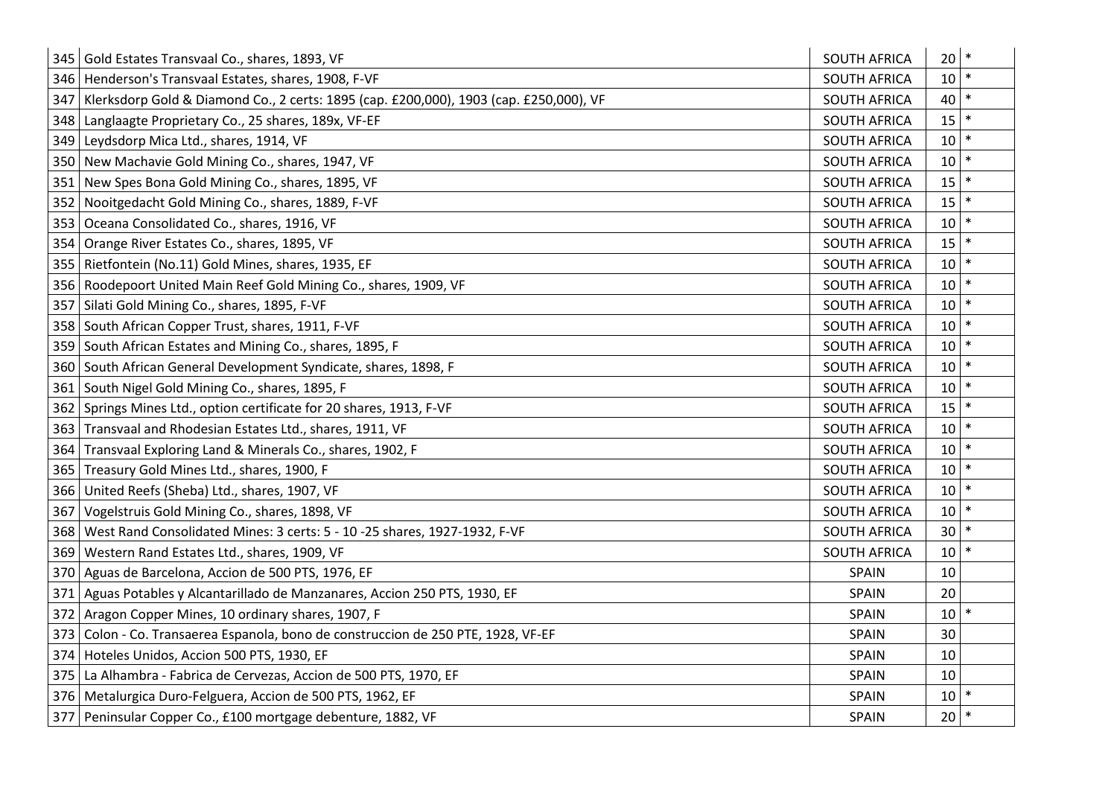| 345 | Gold Estates Transvaal Co., shares, 1893, VF                                           | <b>SOUTH AFRICA</b> | 20       |        |
|-----|----------------------------------------------------------------------------------------|---------------------|----------|--------|
| 346 | Henderson's Transvaal Estates, shares, 1908, F-VF                                      | <b>SOUTH AFRICA</b> | 10       |        |
| 347 | Klerksdorp Gold & Diamond Co., 2 certs: 1895 (cap. £200,000), 1903 (cap. £250,000), VF | <b>SOUTH AFRICA</b> | 40       |        |
| 348 | Langlaagte Proprietary Co., 25 shares, 189x, VF-EF                                     | SOUTH AFRICA        | 15       |        |
| 349 | Leydsdorp Mica Ltd., shares, 1914, VF                                                  | <b>SOUTH AFRICA</b> | 10       |        |
| 350 | New Machavie Gold Mining Co., shares, 1947, VF                                         | <b>SOUTH AFRICA</b> | 10       | $\ast$ |
| 351 | New Spes Bona Gold Mining Co., shares, 1895, VF                                        | <b>SOUTH AFRICA</b> | 15       |        |
| 352 | Nooitgedacht Gold Mining Co., shares, 1889, F-VF                                       | SOUTH AFRICA        | 15       | $\ast$ |
| 353 | Oceana Consolidated Co., shares, 1916, VF                                              | <b>SOUTH AFRICA</b> | 10       |        |
| 354 | Orange River Estates Co., shares, 1895, VF                                             | <b>SOUTH AFRICA</b> | 15       | $\ast$ |
| 355 | Rietfontein (No.11) Gold Mines, shares, 1935, EF                                       | <b>SOUTH AFRICA</b> | 10       |        |
| 356 | Roodepoort United Main Reef Gold Mining Co., shares, 1909, VF                          | <b>SOUTH AFRICA</b> | 10       | $\ast$ |
| 357 | Silati Gold Mining Co., shares, 1895, F-VF                                             | SOUTH AFRICA        | 10       |        |
| 358 | South African Copper Trust, shares, 1911, F-VF                                         | <b>SOUTH AFRICA</b> | 10       | $\ast$ |
| 359 | South African Estates and Mining Co., shares, 1895, F                                  | <b>SOUTH AFRICA</b> | 10       |        |
| 360 | South African General Development Syndicate, shares, 1898, F                           | <b>SOUTH AFRICA</b> | 10       | $\ast$ |
| 361 | South Nigel Gold Mining Co., shares, 1895, F                                           | <b>SOUTH AFRICA</b> | 10       |        |
| 362 | Springs Mines Ltd., option certificate for 20 shares, 1913, F-VF                       | <b>SOUTH AFRICA</b> | 15       | $\ast$ |
| 363 | Transvaal and Rhodesian Estates Ltd., shares, 1911, VF                                 | <b>SOUTH AFRICA</b> | 10       |        |
| 364 | Transvaal Exploring Land & Minerals Co., shares, 1902, F                               | <b>SOUTH AFRICA</b> | 10       |        |
| 365 | Treasury Gold Mines Ltd., shares, 1900, F                                              | <b>SOUTH AFRICA</b> | 10       |        |
| 366 | United Reefs (Sheba) Ltd., shares, 1907, VF                                            | <b>SOUTH AFRICA</b> | 10       | $\ast$ |
| 367 | Vogelstruis Gold Mining Co., shares, 1898, VF                                          | <b>SOUTH AFRICA</b> | 10       |        |
| 368 | West Rand Consolidated Mines: 3 certs: 5 - 10 -25 shares, 1927-1932, F-VF              | <b>SOUTH AFRICA</b> | 30       |        |
| 369 | Western Rand Estates Ltd., shares, 1909, VF                                            | <b>SOUTH AFRICA</b> | 10       |        |
| 370 | Aguas de Barcelona, Accion de 500 PTS, 1976, EF                                        | <b>SPAIN</b>        | 10       |        |
| 371 | Aguas Potables y Alcantarillado de Manzanares, Accion 250 PTS, 1930, EF                | SPAIN               | 20       |        |
| 372 | Aragon Copper Mines, 10 ordinary shares, 1907, F                                       | SPAIN               | 10       |        |
| 373 | Colon - Co. Transaerea Espanola, bono de construccion de 250 PTE, 1928, VF-EF          | SPAIN               | 30       |        |
| 374 | Hoteles Unidos, Accion 500 PTS, 1930, EF                                               | SPAIN               | 10       |        |
| 375 | La Alhambra - Fabrica de Cervezas, Accion de 500 PTS, 1970, EF                         | SPAIN               | 10       |        |
| 376 | Metalurgica Duro-Felguera, Accion de 500 PTS, 1962, EF                                 | SPAIN               | 10       |        |
| 377 | Peninsular Copper Co., £100 mortgage debenture, 1882, VF                               | <b>SPAIN</b>        | $20$ $*$ |        |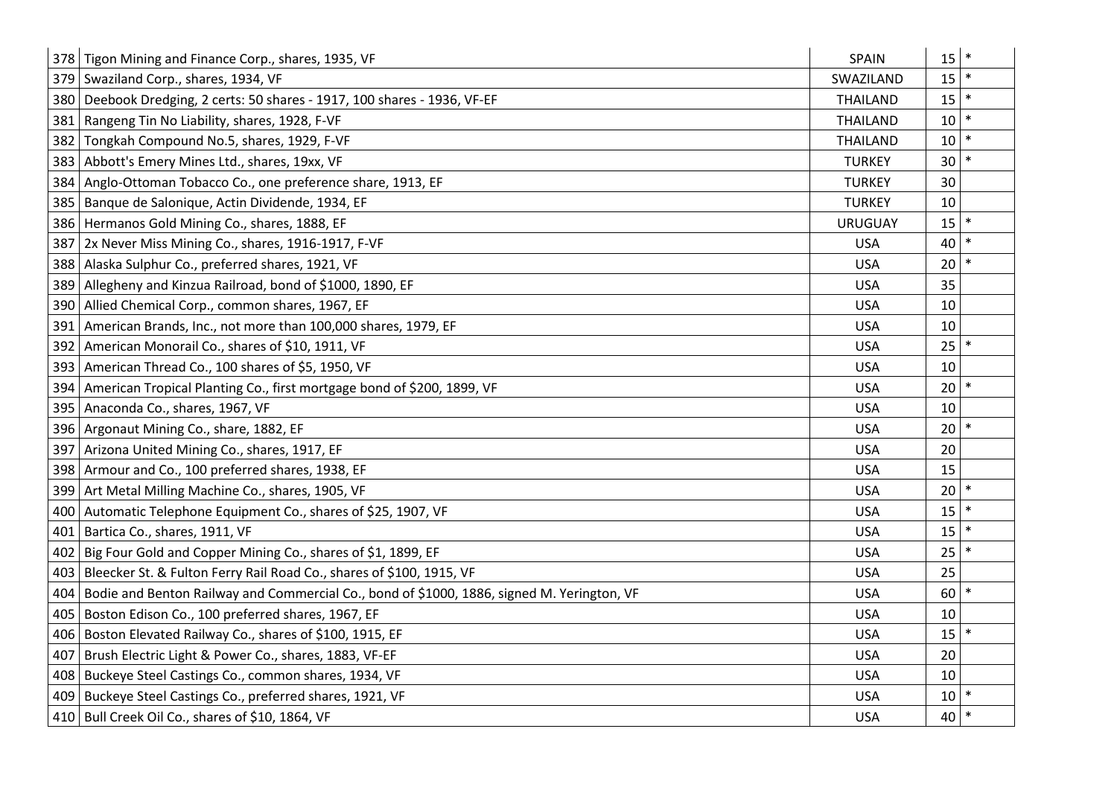|     | 378 Tigon Mining and Finance Corp., shares, 1935, VF                                       | SPAIN           | 15 | $\ast$ |
|-----|--------------------------------------------------------------------------------------------|-----------------|----|--------|
| 379 | Swaziland Corp., shares, 1934, VF                                                          | SWAZILAND       | 15 |        |
| 380 | Deebook Dredging, 2 certs: 50 shares - 1917, 100 shares - 1936, VF-EF                      | <b>THAILAND</b> | 15 |        |
| 381 | Rangeng Tin No Liability, shares, 1928, F-VF                                               | <b>THAILAND</b> | 10 | $\ast$ |
| 382 | Tongkah Compound No.5, shares, 1929, F-VF                                                  | <b>THAILAND</b> | 10 |        |
| 383 | Abbott's Emery Mines Ltd., shares, 19xx, VF                                                | <b>TURKEY</b>   | 30 | $\ast$ |
| 384 | Anglo-Ottoman Tobacco Co., one preference share, 1913, EF                                  | <b>TURKEY</b>   | 30 |        |
| 385 | Banque de Salonique, Actin Dividende, 1934, EF                                             | <b>TURKEY</b>   | 10 |        |
| 386 | Hermanos Gold Mining Co., shares, 1888, EF                                                 | <b>URUGUAY</b>  | 15 |        |
| 387 | 2x Never Miss Mining Co., shares, 1916-1917, F-VF                                          | <b>USA</b>      | 40 |        |
| 388 | Alaska Sulphur Co., preferred shares, 1921, VF                                             | <b>USA</b>      | 20 |        |
| 389 | Allegheny and Kinzua Railroad, bond of \$1000, 1890, EF                                    | <b>USA</b>      | 35 |        |
| 390 | Allied Chemical Corp., common shares, 1967, EF                                             | <b>USA</b>      | 10 |        |
| 391 | American Brands, Inc., not more than 100,000 shares, 1979, EF                              | <b>USA</b>      | 10 |        |
| 392 | American Monorail Co., shares of \$10, 1911, VF                                            | <b>USA</b>      | 25 | $\ast$ |
| 393 | American Thread Co., 100 shares of \$5, 1950, VF                                           | <b>USA</b>      | 10 |        |
| 394 | American Tropical Planting Co., first mortgage bond of \$200, 1899, VF                     | <b>USA</b>      | 20 |        |
| 395 | Anaconda Co., shares, 1967, VF                                                             | <b>USA</b>      | 10 |        |
| 396 | Argonaut Mining Co., share, 1882, EF                                                       | <b>USA</b>      | 20 |        |
| 397 | Arizona United Mining Co., shares, 1917, EF                                                | <b>USA</b>      | 20 |        |
| 398 | Armour and Co., 100 preferred shares, 1938, EF                                             | <b>USA</b>      | 15 |        |
| 399 | Art Metal Milling Machine Co., shares, 1905, VF                                            | <b>USA</b>      | 20 |        |
| 400 | Automatic Telephone Equipment Co., shares of \$25, 1907, VF                                | <b>USA</b>      | 15 | $\ast$ |
| 401 | Bartica Co., shares, 1911, VF                                                              | <b>USA</b>      | 15 |        |
| 402 | Big Four Gold and Copper Mining Co., shares of \$1, 1899, EF                               | <b>USA</b>      | 25 | $\ast$ |
| 403 | Bleecker St. & Fulton Ferry Rail Road Co., shares of \$100, 1915, VF                       | <b>USA</b>      | 25 |        |
| 404 | Bodie and Benton Railway and Commercial Co., bond of \$1000, 1886, signed M. Yerington, VF | <b>USA</b>      | 60 | $\ast$ |
| 405 | Boston Edison Co., 100 preferred shares, 1967, EF                                          | <b>USA</b>      | 10 |        |
| 406 | Boston Elevated Railway Co., shares of \$100, 1915, EF                                     | <b>USA</b>      | 15 |        |
| 407 | Brush Electric Light & Power Co., shares, 1883, VF-EF                                      | <b>USA</b>      | 20 |        |
| 408 | Buckeye Steel Castings Co., common shares, 1934, VF                                        | <b>USA</b>      | 10 |        |
| 409 | Buckeye Steel Castings Co., preferred shares, 1921, VF                                     | <b>USA</b>      | 10 |        |
|     | 410 Bull Creek Oil Co., shares of \$10, 1864, VF                                           | <b>USA</b>      | 40 | $\ast$ |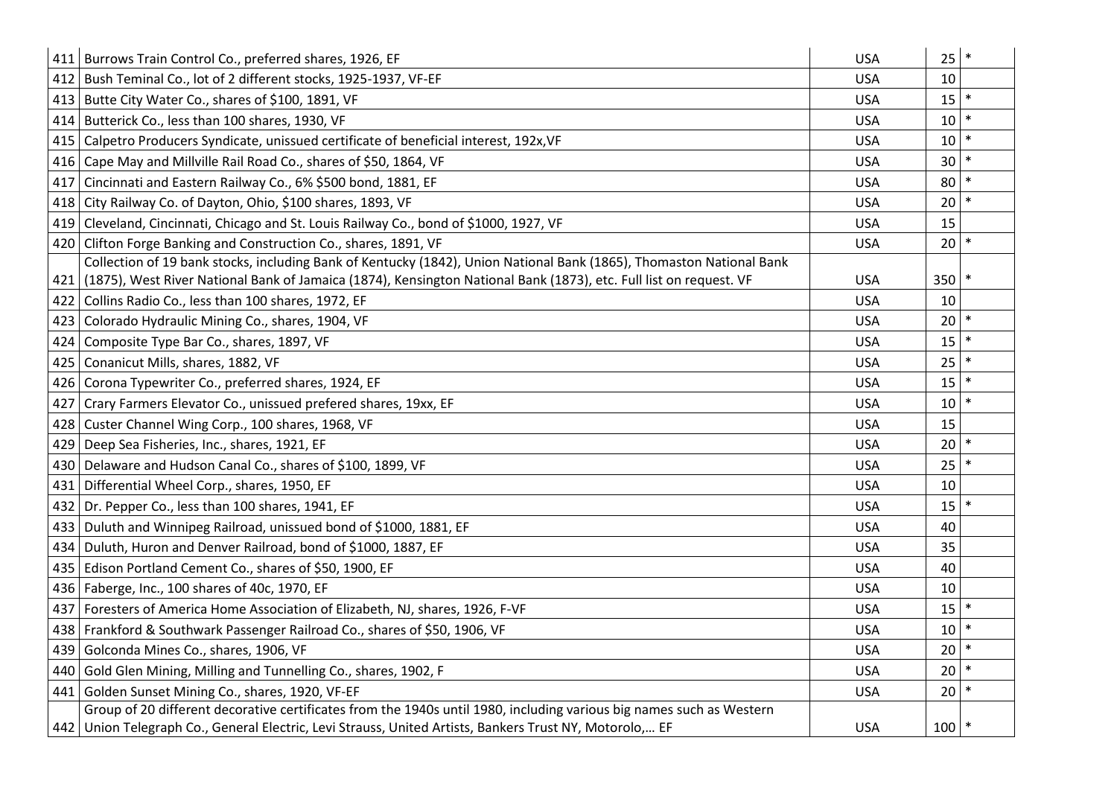| 411 | Burrows Train Control Co., preferred shares, 1926, EF                                                                | <b>USA</b> | 25      | $\ast$ |
|-----|----------------------------------------------------------------------------------------------------------------------|------------|---------|--------|
| 412 | Bush Teminal Co., lot of 2 different stocks, 1925-1937, VF-EF                                                        | <b>USA</b> | 10      |        |
| 413 | Butte City Water Co., shares of \$100, 1891, VF                                                                      | <b>USA</b> | 15      |        |
| 414 | Butterick Co., less than 100 shares, 1930, VF                                                                        | <b>USA</b> | 10      |        |
| 415 | Calpetro Producers Syndicate, unissued certificate of beneficial interest, 192x, VF                                  | <b>USA</b> | 10      |        |
| 416 | Cape May and Millville Rail Road Co., shares of \$50, 1864, VF                                                       | <b>USA</b> | 30      |        |
| 417 | Cincinnati and Eastern Railway Co., 6% \$500 bond, 1881, EF                                                          | <b>USA</b> | 80      |        |
| 418 | City Railway Co. of Dayton, Ohio, \$100 shares, 1893, VF                                                             | <b>USA</b> | 20      |        |
| 419 | Cleveland, Cincinnati, Chicago and St. Louis Railway Co., bond of \$1000, 1927, VF                                   | <b>USA</b> | 15      |        |
| 420 | Clifton Forge Banking and Construction Co., shares, 1891, VF                                                         | <b>USA</b> | 20      |        |
|     | Collection of 19 bank stocks, including Bank of Kentucky (1842), Union National Bank (1865), Thomaston National Bank |            |         |        |
| 421 | (1875), West River National Bank of Jamaica (1874), Kensington National Bank (1873), etc. Full list on request. VF   | <b>USA</b> | 350     |        |
| 422 | Collins Radio Co., less than 100 shares, 1972, EF                                                                    | <b>USA</b> | 10      |        |
| 423 | Colorado Hydraulic Mining Co., shares, 1904, VF                                                                      | <b>USA</b> | 20      |        |
| 424 | Composite Type Bar Co., shares, 1897, VF                                                                             | <b>USA</b> | 15      |        |
| 425 | Conanicut Mills, shares, 1882, VF                                                                                    | <b>USA</b> | 25      |        |
| 426 | Corona Typewriter Co., preferred shares, 1924, EF                                                                    | <b>USA</b> | 15      |        |
| 427 | Crary Farmers Elevator Co., unissued prefered shares, 19xx, EF                                                       | <b>USA</b> | 10      | $\ast$ |
| 428 | Custer Channel Wing Corp., 100 shares, 1968, VF                                                                      | <b>USA</b> | 15      |        |
| 429 | Deep Sea Fisheries, Inc., shares, 1921, EF                                                                           | <b>USA</b> | 20      |        |
| 430 | Delaware and Hudson Canal Co., shares of \$100, 1899, VF                                                             | <b>USA</b> | 25      |        |
| 431 | Differential Wheel Corp., shares, 1950, EF                                                                           | <b>USA</b> | 10      |        |
| 432 | Dr. Pepper Co., less than 100 shares, 1941, EF                                                                       | <b>USA</b> | 15      | $\ast$ |
| 433 | Duluth and Winnipeg Railroad, unissued bond of \$1000, 1881, EF                                                      | <b>USA</b> | 40      |        |
| 434 | Duluth, Huron and Denver Railroad, bond of \$1000, 1887, EF                                                          | <b>USA</b> | 35      |        |
| 435 | Edison Portland Cement Co., shares of \$50, 1900, EF                                                                 | <b>USA</b> | 40      |        |
| 436 | Faberge, Inc., 100 shares of 40c, 1970, EF                                                                           | <b>USA</b> | 10      |        |
| 437 | Foresters of America Home Association of Elizabeth, NJ, shares, 1926, F-VF                                           | <b>USA</b> | 15      |        |
| 438 | Frankford & Southwark Passenger Railroad Co., shares of \$50, 1906, VF                                               | <b>USA</b> | 10      |        |
| 439 | Golconda Mines Co., shares, 1906, VF                                                                                 | <b>USA</b> | 20      |        |
| 440 | Gold Glen Mining, Milling and Tunnelling Co., shares, 1902, F                                                        | <b>USA</b> | 20      |        |
| 441 | Golden Sunset Mining Co., shares, 1920, VF-EF                                                                        | <b>USA</b> | 20      | $\ast$ |
|     | Group of 20 different decorative certificates from the 1940s until 1980, including various big names such as Western |            |         |        |
|     | 442 Union Telegraph Co., General Electric, Levi Strauss, United Artists, Bankers Trust NY, Motorolo, EF              | <b>USA</b> | $100$ * |        |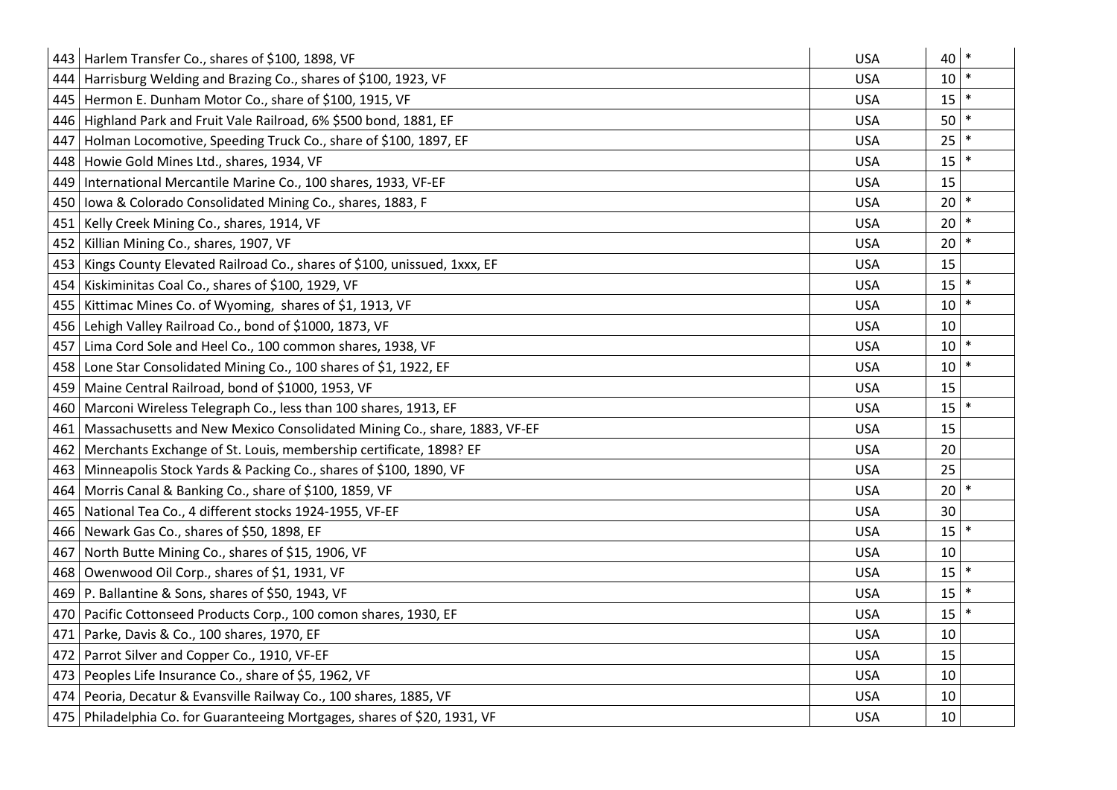|     | 443 Harlem Transfer Co., shares of \$100, 1898, VF                          | <b>USA</b> | 40 | $\ast$ |
|-----|-----------------------------------------------------------------------------|------------|----|--------|
| 444 | Harrisburg Welding and Brazing Co., shares of \$100, 1923, VF               | <b>USA</b> | 10 |        |
| 445 | Hermon E. Dunham Motor Co., share of \$100, 1915, VF                        | <b>USA</b> | 15 |        |
|     | 446 Highland Park and Fruit Vale Railroad, 6% \$500 bond, 1881, EF          | <b>USA</b> | 50 |        |
| 447 | Holman Locomotive, Speeding Truck Co., share of \$100, 1897, EF             | <b>USA</b> | 25 |        |
| 448 | Howie Gold Mines Ltd., shares, 1934, VF                                     | <b>USA</b> | 15 | $\ast$ |
| 449 | International Mercantile Marine Co., 100 shares, 1933, VF-EF                | <b>USA</b> | 15 |        |
| 450 | Iowa & Colorado Consolidated Mining Co., shares, 1883, F                    | <b>USA</b> | 20 |        |
| 451 | Kelly Creek Mining Co., shares, 1914, VF                                    | <b>USA</b> | 20 |        |
| 452 | Killian Mining Co., shares, 1907, VF                                        | <b>USA</b> | 20 | $\ast$ |
| 453 | Kings County Elevated Railroad Co., shares of \$100, unissued, 1xxx, EF     | <b>USA</b> | 15 |        |
| 454 | Kiskiminitas Coal Co., shares of \$100, 1929, VF                            | <b>USA</b> | 15 |        |
| 455 | Kittimac Mines Co. of Wyoming, shares of \$1, 1913, VF                      | <b>USA</b> | 10 |        |
| 456 | Lehigh Valley Railroad Co., bond of \$1000, 1873, VF                        | <b>USA</b> | 10 |        |
| 457 | Lima Cord Sole and Heel Co., 100 common shares, 1938, VF                    | <b>USA</b> | 10 |        |
| 458 | Lone Star Consolidated Mining Co., 100 shares of \$1, 1922, EF              | <b>USA</b> | 10 |        |
| 459 | Maine Central Railroad, bond of \$1000, 1953, VF                            | <b>USA</b> | 15 |        |
| 460 | Marconi Wireless Telegraph Co., less than 100 shares, 1913, EF              | <b>USA</b> | 15 |        |
| 461 | Massachusetts and New Mexico Consolidated Mining Co., share, 1883, VF-EF    | <b>USA</b> | 15 |        |
| 462 | Merchants Exchange of St. Louis, membership certificate, 1898? EF           | <b>USA</b> | 20 |        |
| 463 | Minneapolis Stock Yards & Packing Co., shares of \$100, 1890, VF            | <b>USA</b> | 25 |        |
| 464 | Morris Canal & Banking Co., share of \$100, 1859, VF                        | <b>USA</b> | 20 |        |
| 465 | National Tea Co., 4 different stocks 1924-1955, VF-EF                       | <b>USA</b> | 30 |        |
| 466 | Newark Gas Co., shares of \$50, 1898, EF                                    | <b>USA</b> | 15 |        |
| 467 | North Butte Mining Co., shares of \$15, 1906, VF                            | <b>USA</b> | 10 |        |
| 468 | Owenwood Oil Corp., shares of \$1, 1931, VF                                 | <b>USA</b> | 15 |        |
|     | 469   P. Ballantine & Sons, shares of \$50, 1943, VF                        | <b>USA</b> | 15 |        |
| 470 | Pacific Cottonseed Products Corp., 100 comon shares, 1930, EF               | <b>USA</b> | 15 |        |
| 471 | Parke, Davis & Co., 100 shares, 1970, EF                                    | <b>USA</b> | 10 |        |
| 472 | Parrot Silver and Copper Co., 1910, VF-EF                                   | <b>USA</b> | 15 |        |
|     | 473 Peoples Life Insurance Co., share of \$5, 1962, VF                      | <b>USA</b> | 10 |        |
|     | 474   Peoria, Decatur & Evansville Railway Co., 100 shares, 1885, VF        | <b>USA</b> | 10 |        |
|     | 475   Philadelphia Co. for Guaranteeing Mortgages, shares of \$20, 1931, VF | <b>USA</b> | 10 |        |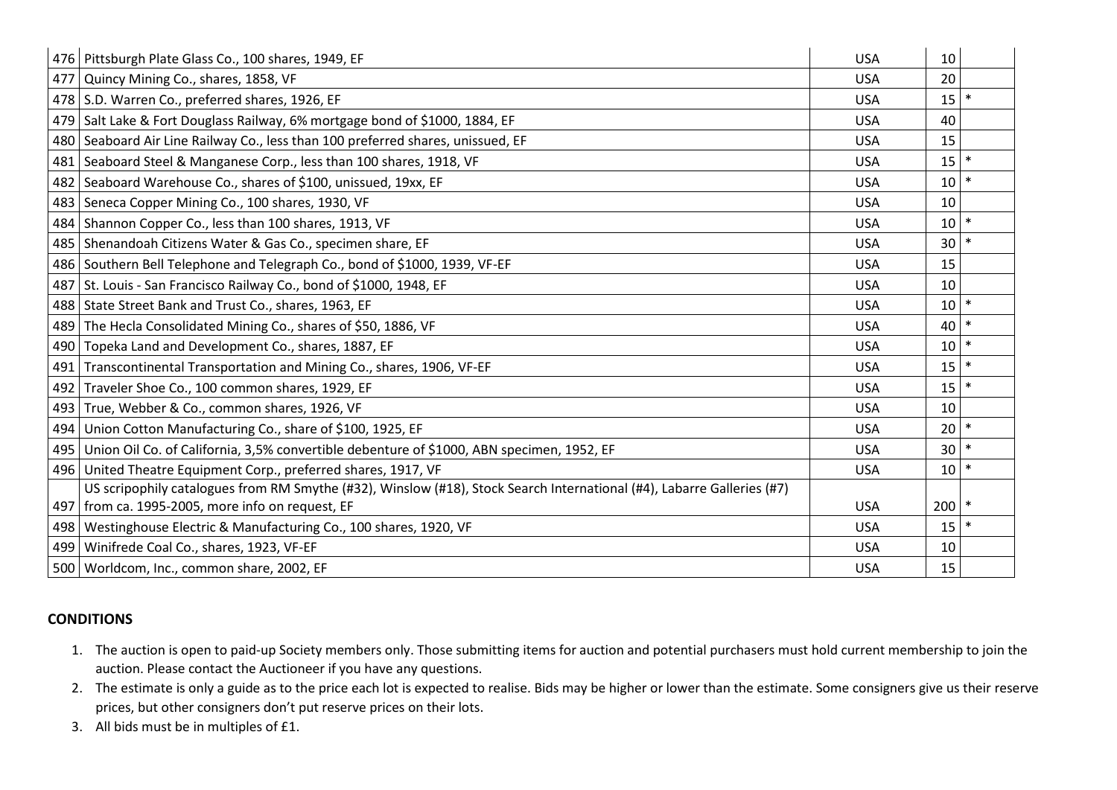|     | 476   Pittsburgh Plate Glass Co., 100 shares, 1949, EF                                                                 | <b>USA</b> | 10              |        |
|-----|------------------------------------------------------------------------------------------------------------------------|------------|-----------------|--------|
| 477 | Quincy Mining Co., shares, 1858, VF                                                                                    | <b>USA</b> | 20              |        |
|     | 478 S.D. Warren Co., preferred shares, 1926, EF                                                                        | <b>USA</b> | 15              | $\ast$ |
|     | 479 Salt Lake & Fort Douglass Railway, 6% mortgage bond of \$1000, 1884, EF                                            | <b>USA</b> | 40              |        |
|     | 480   Seaboard Air Line Railway Co., less than 100 preferred shares, unissued, EF                                      | <b>USA</b> | 15              |        |
| 481 | Seaboard Steel & Manganese Corp., less than 100 shares, 1918, VF                                                       | <b>USA</b> | 15              | $\ast$ |
| 482 | Seaboard Warehouse Co., shares of \$100, unissued, 19xx, EF                                                            | <b>USA</b> | 10              | $\ast$ |
|     | 483   Seneca Copper Mining Co., 100 shares, 1930, VF                                                                   | <b>USA</b> | 10              |        |
|     | 484 Shannon Copper Co., less than 100 shares, 1913, VF                                                                 | <b>USA</b> | 10 <sup>1</sup> | $\ast$ |
|     | 485   Shenandoah Citizens Water & Gas Co., specimen share, EF                                                          | <b>USA</b> | 30 <sup>°</sup> | $\ast$ |
|     | 486 Southern Bell Telephone and Telegraph Co., bond of \$1000, 1939, VF-EF                                             | <b>USA</b> | 15              |        |
| 487 | St. Louis - San Francisco Railway Co., bond of \$1000, 1948, EF                                                        | <b>USA</b> | 10              |        |
|     | 488 State Street Bank and Trust Co., shares, 1963, EF                                                                  | <b>USA</b> | 10 <sup>1</sup> | $\ast$ |
| 489 | The Hecla Consolidated Mining Co., shares of \$50, 1886, VF                                                            | <b>USA</b> | 40              | $\ast$ |
| 490 | Topeka Land and Development Co., shares, 1887, EF                                                                      | <b>USA</b> | 10 <sup>1</sup> | $\ast$ |
| 491 | Transcontinental Transportation and Mining Co., shares, 1906, VF-EF                                                    | <b>USA</b> | 15              | $\ast$ |
| 492 | Traveler Shoe Co., 100 common shares, 1929, EF                                                                         | <b>USA</b> | 15              | $\ast$ |
| 493 | True, Webber & Co., common shares, 1926, VF                                                                            | <b>USA</b> | 10              |        |
|     | 494 Union Cotton Manufacturing Co., share of \$100, 1925, EF                                                           | <b>USA</b> | $20$ $*$        |        |
|     | 495   Union Oil Co. of California, 3,5% convertible debenture of \$1000, ABN specimen, 1952, EF                        | <b>USA</b> | $30$ $*$        |        |
|     | 496 United Theatre Equipment Corp., preferred shares, 1917, VF                                                         | <b>USA</b> | $10$ $*$        |        |
|     | US scripophily catalogues from RM Smythe (#32), Winslow (#18), Stock Search International (#4), Labarre Galleries (#7) |            |                 |        |
|     | 497   from ca. 1995-2005, more info on request, EF                                                                     | <b>USA</b> | $200$ *         |        |
|     | 498   Westinghouse Electric & Manufacturing Co., 100 shares, 1920, VF                                                  | <b>USA</b> | 15              | $\ast$ |
|     | 499   Winifrede Coal Co., shares, 1923, VF-EF                                                                          | <b>USA</b> | 10              |        |
|     | 500   Worldcom, Inc., common share, 2002, EF                                                                           | <b>USA</b> | 15              |        |

## **CONDITIONS**

- 1. The auction is open to paid-up Society members only. Those submitting items for auction and potential purchasers must hold current membership to join the auction. Please contact the Auctioneer if you have any questions.
- 2. The estimate is only a guide as to the price each lot is expected to realise. Bids may be higher or lower than the estimate. Some consigners give us their reserve prices, but other consigners don't put reserve prices on their lots.
- 3. All bids must be in multiples of £1.